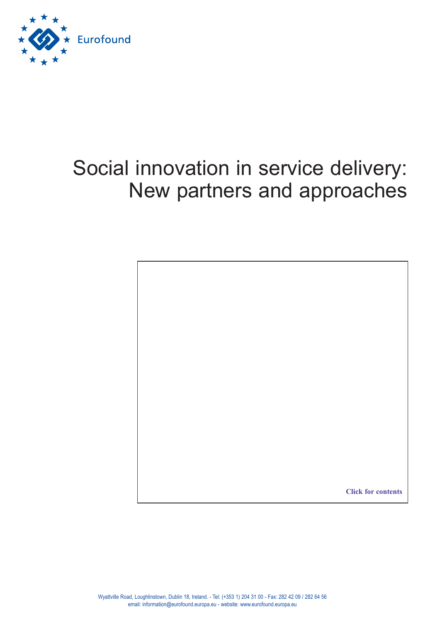

# Social innovation in service delivery: New partners and approaches

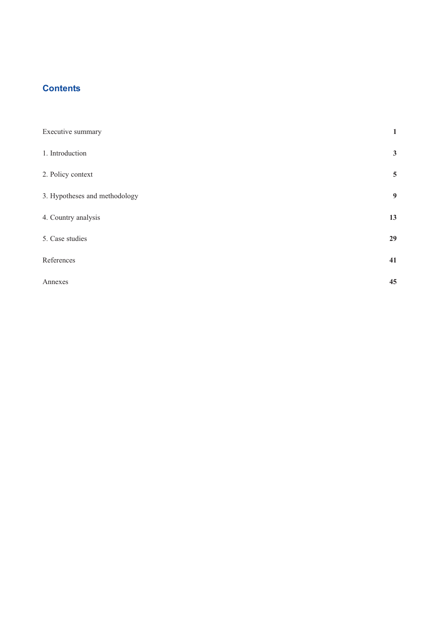# <span id="page-2-0"></span>**Contents**

| Executive summary             | $\mathbf{1}$    |
|-------------------------------|-----------------|
| 1. Introduction               | $\mathbf{3}$    |
| 2. Policy context             | $5\phantom{.0}$ |
| 3. Hypotheses and methodology | 9               |
| 4. Country analysis           | 13              |
| 5. Case studies               | 29              |
| References                    | 41              |
| Annexes                       | 45              |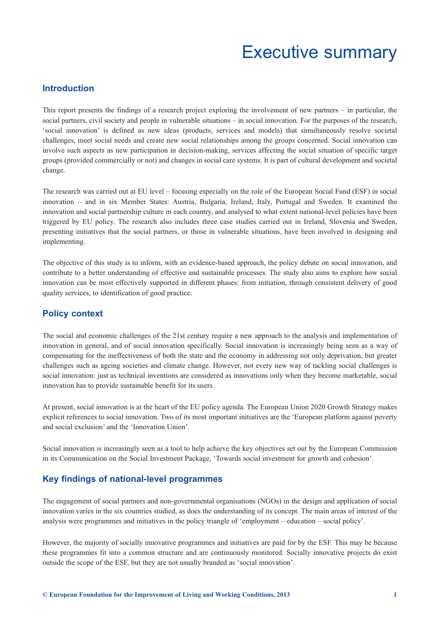# Executive summary

# <span id="page-4-0"></span>**Introduction**

This report presents the findings of a research project exploring the involvement of new partners – in particular, the social partners, civil society and people in vulnerable situations – in social innovation. For the purposes of the research, 'social innovation' is defined as new ideas (products, services and models) that simultaneously resolve societal challenges, meet social needs and create new social relationships among the groups concerned. Social innovation can involve such aspects as new participation in decision-making, services affecting the social situation of specific target groups (provided commercially or not) and changes in social care systems. It is part of cultural development and societal change.

The research was carried out at EU level – focusing especially on the role of the European Social Fund (ESF) in social innovation – and in six Member States: Austria, Bulgaria, Ireland, Italy, Portugal and Sweden. It examined the innovation and social partnership culture in each country, and analysed to what extent national-level policies have been triggered by EU policy. The research also includes three case studies carried out in Ireland, Slovenia and Sweden, presenting initiatives that the social partners, or those in vulnerable situations, have been involved in designing and implementing.

The objective of this study is to inform, with an evidence-based approach, the policy debate on social innovation, and contribute to a better understanding of effective and sustainable processes. The study also aims to explore how social innovation can be most effectively supported in different phases: from initiation, through consistent delivery of good quality services, to identification of good practice.

# **Policy context**

The social and economic challenges of the 21st century require a new approach to the analysis and implementation of innovation in general, and of social innovation specifically. Social innovation is increasingly being seen as a way of compensating for the ineffectiveness of both the state and the economy in addressing not only deprivation, but greater challenges such as ageing societies and climate change. However, not every new way of tackling social challenges is social innovation: just as technical inventions are considered as innovations only when they become marketable, social innovation has to provide sustainable benefit for its users.

At present, social innovation is at the heart of the EU policy agenda. The European Union 2020 Growth Strategy makes explicit references to social innovation. Two of its most important initiatives are the 'European platform against poverty and social exclusion' and the 'Innovation Union'.

Social innovation is increasingly seen as a tool to help achieve the key objectives set out by the European Commission in its Communication on the Social Investment Package, 'Towards social investment for growth and cohesion'.

# **Key findings of national-level programmes**

The engagement of social partners and non-governmental organisations (NGOs) in the design and application of social innovation varies in the six countries studied, as does the understanding of its concept. The main areas of interest of the analysis were programmes and initiatives in the policy triangle of 'employment – education – social policy'.

However, the majority of socially innovative programmes and initiatives are paid for by the ESF. This may be because these programmes fit into a common structure and are continuously monitored. Socially innovative projects do exist outside the scope of the ESF, but they are not usually branded as 'social innovation'.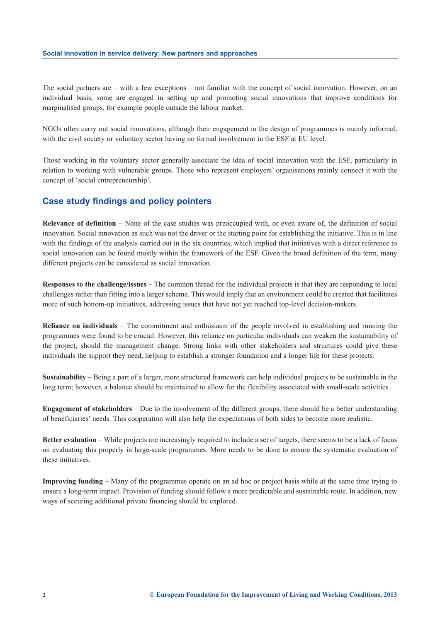The social partners are – with a few exceptions – not familiar with the concept of social innovation. However, on an individual basis, some are engaged in setting up and promoting social innovations that improve conditions for marginalised groups, for example people outside the labour market.

NGOs often carry out social innovations, although their engagement in the design of programmes is mainly informal, with the civil society or voluntary sector having no formal involvement in the ESF at EU level.

Those working in the voluntary sector generally associate the idea of social innovation with the ESF, particularly in relation to working with vulnerable groups. Those who represent employers' organisations mainly connect it with the concept of 'social entrepreneurship'.

# **Case study findings and policy pointers**

**Relevance of definition** – None of the case studies was preoccupied with, or even aware of, the definition of social innovation. Social innovation as such was not the driver or the starting point for establishing the initiative. This is in line with the findings of the analysis carried out in the six countries, which implied that initiatives with a direct reference to social innovation can be found mostly within the framework of the ESF. Given the broad definition of the term, many different projects can be considered as social innovation.

**Responses to the challenge/issues** – The common thread for the individual projects is that they are responding to local challenges rather than fitting into a larger scheme. This would imply that an environment could be created that facilitates more of such bottom-up initiatives, addressing issues that have not yet reached top-level decision-makers.

**Reliance on individuals** – The commitment and enthusiasm of the people involved in establishing and running the programmes were found to be crucial. However, this reliance on particular individuals can weaken the sustainability of the project, should the management change. Strong links with other stakeholders and structures could give these individuals the support they need, helping to establish a stronger foundation and a longer life for these projects.

**Sustainability** – Being a part of a larger, more structured framework can help individual projects to be sustainable in the long term; however, a balance should be maintained to allow for the flexibility associated with small-scale activities.

**Engagement of stakeholders** – Due to the involvement of the different groups, there should be a better understanding of beneficiaries' needs. This cooperation will also help the expectations of both sides to become more realistic.

**Better evaluation** – While projects are increasingly required to include a set of targets, there seems to be a lack of focus on evaluating this properly in large-scale programmes. More needs to be done to ensure the systematic evaluation of these initiatives.

**Improving funding** – Many of the programmes operate on an ad hoc or project basis while at the same time trying to ensure a long-term impact. Provision of funding should follow a more predictable and sustainable route. In addition, new ways of securing additional private financing should be explored.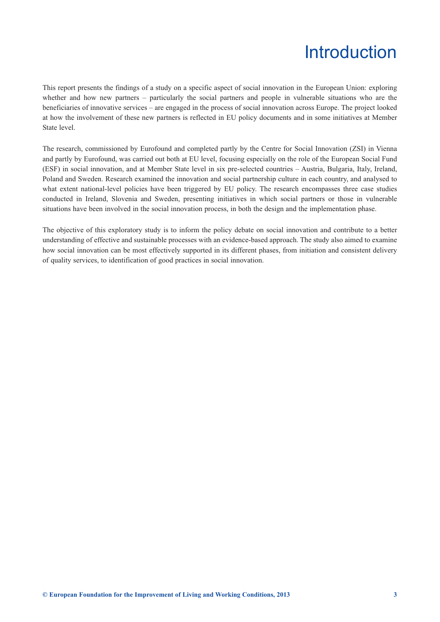# Introduction

<span id="page-6-0"></span>This report presents the findings of a study on a specific aspect of social innovation in the European Union: exploring whether and how new partners – particularly the social partners and people in vulnerable situations who are the beneficiaries of innovative services – are engaged in the process of social innovation across Europe. The project looked at how the involvement of these new partners is reflected in EU policy documents and in some initiatives at Member State level.

The research, commissioned by Eurofound and completed partly by the Centre for Social Innovation (ZSI) in Vienna and partly by Eurofound, was carried out both at EU level, focusing especially on the role of the European Social Fund (ESF) in social innovation, and at Member State level in six pre-selected countries – Austria, Bulgaria, Italy, Ireland, Poland and Sweden. Research examined the innovation and social partnership culture in each country, and analysed to what extent national-level policies have been triggered by EU policy. The research encompasses three case studies conducted in Ireland, Slovenia and Sweden, presenting initiatives in which social partners or those in vulnerable situations have been involved in the social innovation process, in both the design and the implementation phase.

The objective of this exploratory study is to inform the policy debate on social innovation and contribute to a better understanding of effective and sustainable processes with an evidence-based approach. The study also aimed to examine how social innovation can be most effectively supported in its different phases, from initiation and consistent delivery of quality services, to identification of good practices in social innovation.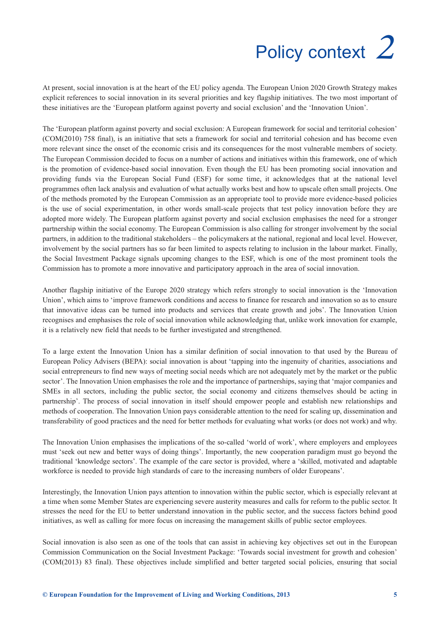# Policy context *2*

<span id="page-8-0"></span>At present, social innovation is at the heart of the EU policy agenda. The European Union 2020 Growth Strategy makes explicit references to social innovation in its several priorities and key flagship initiatives. The two most important of these initiatives are the 'European platform against poverty and social exclusion' and the 'Innovation Union'.

The 'European platform against poverty and social exclusion: A European framework for social and territorial cohesion' (COM(2010) 758 final), is an initiative that sets a framework for social and territorial cohesion and has become even more relevant since the onset of the economic crisis and its consequences for the most vulnerable members of society. The European Commission decided to focus on a number of actions and initiatives within this framework, one of which is the promotion of evidence-based social innovation. Even though the EU has been promoting social innovation and providing funds via the European Social Fund (ESF) for some time, it acknowledges that at the national level programmes often lack analysis and evaluation of what actually works best and how to upscale often small projects. One of the methods promoted by the European Commission as an appropriate tool to provide more evidence-based policies is the use of social experimentation, in other words small-scale projects that test policy innovation before they are adopted more widely. The European platform against poverty and social exclusion emphasises the need for a stronger partnership within the social economy. The European Commission is also calling for stronger involvement by the social partners, in addition to the traditional stakeholders – the policymakers at the national, regional and local level. However, involvement by the social partners has so far been limited to aspects relating to inclusion in the labour market. Finally, the Social Investment Package signals upcoming changes to the ESF, which is one of the most prominent tools the Commission has to promote a more innovative and participatory approach in the area of social innovation.

Another flagship initiative of the Europe 2020 strategy which refers strongly to social innovation is the 'Innovation Union', which aims to 'improve framework conditions and access to finance for research and innovation so as to ensure that innovative ideas can be turned into products and services that create growth and jobs'. The Innovation Union recognises and emphasises the role of social innovation while acknowledging that, unlike work innovation for example, it is a relatively new field that needs to be further investigated and strengthened.

To a large extent the Innovation Union has a similar definition of social innovation to that used by the Bureau of European Policy Advisers (BEPA): social innovation is about 'tapping into the ingenuity of charities, associations and social entrepreneurs to find new ways of meeting social needs which are not adequately met by the market or the public sector'. The Innovation Union emphasises the role and the importance of partnerships, saying that 'major companies and SMEs in all sectors, including the public sector, the social economy and citizens themselves should be acting in partnership'. The process of social innovation in itself should empower people and establish new relationships and methods of cooperation. The Innovation Union pays considerable attention to the need for scaling up, dissemination and transferability of good practices and the need for better methods for evaluating what works (or does not work) and why.

The Innovation Union emphasises the implications of the so-called 'world of work', where employers and employees must 'seek out new and better ways of doing things'. Importantly, the new cooperation paradigm must go beyond the traditional 'knowledge sectors'. The example of the care sector is provided, where a 'skilled, motivated and adaptable workforce is needed to provide high standards of care to the increasing numbers of older Europeans'.

Interestingly, the Innovation Union pays attention to innovation within the public sector, which is especially relevant at a time when some Member States are experiencing severe austerity measures and calls for reform to the public sector. It stresses the need for the EU to better understand innovation in the public sector, and the success factors behind good initiatives, as well as calling for more focus on increasing the management skills of public sector employees.

Social innovation is also seen as one of the tools that can assist in achieving key objectives set out in the European Commission Communication on the Social Investment Package: 'Towards social investment for growth and cohesion' (COM(2013) 83 final). These objectives include simplified and better targeted social policies, ensuring that social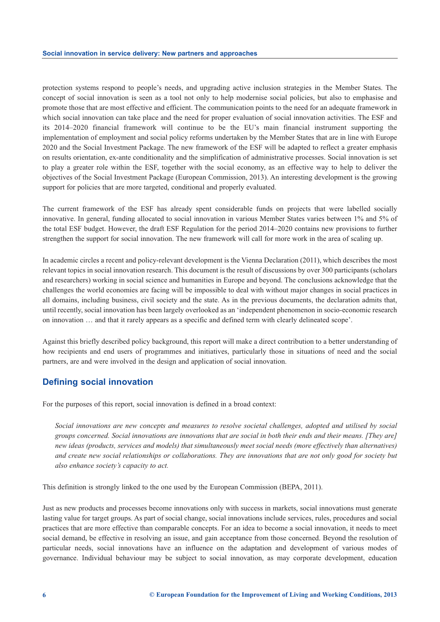protection systems respond to people's needs, and upgrading active inclusion strategies in the Member States. The concept of social innovation is seen as a tool not only to help modernise social policies, but also to emphasise and promote those that are most effective and efficient. The communication points to the need for an adequate framework in which social innovation can take place and the need for proper evaluation of social innovation activities. The ESF and its 2014–2020 financial framework will continue to be the EU's main financial instrument supporting the implementation of employment and social policy reforms undertaken by the Member States that are in line with Europe 2020 and the Social Investment Package. The new framework of the ESF will be adapted to reflect a greater emphasis on results orientation, ex-ante conditionality and the simplification of administrative processes. Social innovation is set to play a greater role within the ESF, together with the social economy, as an effective way to help to deliver the objectives of the Social Investment Package (European Commission, 2013). An interesting development is the growing support for policies that are more targeted, conditional and properly evaluated.

The current framework of the ESF has already spent considerable funds on projects that were labelled socially innovative. In general, funding allocated to social innovation in various Member States varies between 1% and 5% of the total ESF budget. However, the draft ESF Regulation for the period 2014–2020 contains new provisions to further strengthen the support for social innovation. The new framework will call for more work in the area of scaling up.

In academic circles a recent and policy-relevant development is the Vienna Declaration (2011), which describes the most relevant topics in social innovation research. This document is the result of discussions by over 300 participants (scholars and researchers) working in social science and humanities in Europe and beyond. The conclusions acknowledge that the challenges the world economies are facing will be impossible to deal with without major changes in social practices in all domains, including business, civil society and the state. As in the previous documents, the declaration admits that, until recently, social innovation has been largely overlooked as an 'independent phenomenon in socio-economic research on innovation … and that it rarely appears as a specific and defined term with clearly delineated scope'.

Against this briefly described policy background, this report will make a direct contribution to a better understanding of how recipients and end users of programmes and initiatives, particularly those in situations of need and the social partners, are and were involved in the design and application of social innovation.

# **Defining social innovation**

For the purposes of this report, social innovation is defined in a broad context:

*Social innovations are new concepts and measures to resolve societal challenges, adopted and utilised by social groups concerned. Social innovations are innovations that are social in both their ends and their means. [They are] new ideas (products, services and models) that simultaneously meet social needs (more effectively than alternatives) and create new social relationships or collaborations. They are innovations that are not only good for society but also enhance society's capacity to act.* 

This definition is strongly linked to the one used by the European Commission (BEPA, 2011).

Just as new products and processes become innovations only with success in markets, social innovations must generate lasting value for target groups. As part of social change, social innovations include services, rules, procedures and social practices that are more effective than comparable concepts. For an idea to become a social innovation, it needs to meet social demand, be effective in resolving an issue, and gain acceptance from those concerned. Beyond the resolution of particular needs, social innovations have an influence on the adaptation and development of various modes of governance. Individual behaviour may be subject to social innovation, as may corporate development, education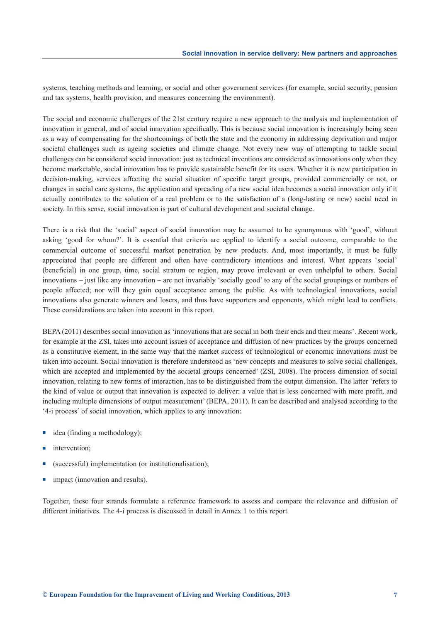systems, teaching methods and learning, or social and other government services (for example, social security, pension and tax systems, health provision, and measures concerning the environment).

The social and economic challenges of the 21st century require a new approach to the analysis and implementation of innovation in general, and of social innovation specifically. This is because social innovation is increasingly being seen as a way of compensating for the shortcomings of both the state and the economy in addressing deprivation and major societal challenges such as ageing societies and climate change. Not every new way of attempting to tackle social challenges can be considered social innovation: just as technical inventions are considered as innovations only when they become marketable, social innovation has to provide sustainable benefit for its users. Whether it is new participation in decision-making, services affecting the social situation of specific target groups, provided commercially or not, or changes in social care systems, the application and spreading of a new social idea becomes a social innovation only if it actually contributes to the solution of a real problem or to the satisfaction of a (long-lasting or new) social need in society. In this sense, social innovation is part of cultural development and societal change.

There is a risk that the 'social' aspect of social innovation may be assumed to be synonymous with 'good', without asking 'good for whom?'. It is essential that criteria are applied to identify a social outcome, comparable to the commercial outcome of successful market penetration by new products. And, most importantly, it must be fully appreciated that people are different and often have contradictory intentions and interest. What appears 'social' (beneficial) in one group, time, social stratum or region, may prove irrelevant or even unhelpful to others. Social innovations – just like any innovation – are not invariably 'socially good' to any of the social groupings or numbers of people affected; nor will they gain equal acceptance among the public. As with technological innovations, social innovations also generate winners and losers, and thus have supporters and opponents, which might lead to conflicts. These considerations are taken into account in this report.

BEPA (2011) describes social innovation as 'innovations that are social in both their ends and their means'. Recent work, for example at the ZSI, takes into account issues of acceptance and diffusion of new practices by the groups concerned as a constitutive element, in the same way that the market success of technological or economic innovations must be taken into account. Social innovation is therefore understood as 'new concepts and measures to solve social challenges, which are accepted and implemented by the societal groups concerned' (ZSI, 2008). The process dimension of social innovation, relating to new forms of interaction, has to be distinguished from the output dimension. The latter 'refers to the kind of value or output that innovation is expected to deliver: a value that is less concerned with mere profit, and including multiple dimensions of output measurement' (BEPA, 2011). It can be described and analysed according to the '4-i process' of social innovation, which applies to any innovation:

- $\blacksquare$  idea (finding a methodology);
- intervention:
- (successful) implementation (or institutionalisation);
- $\blacksquare$  impact (innovation and results).

Together, these four strands formulate a reference framework to assess and compare the relevance and diffusion of different initiatives. The 4-i process is discussed in detail in Annex 1 to this report.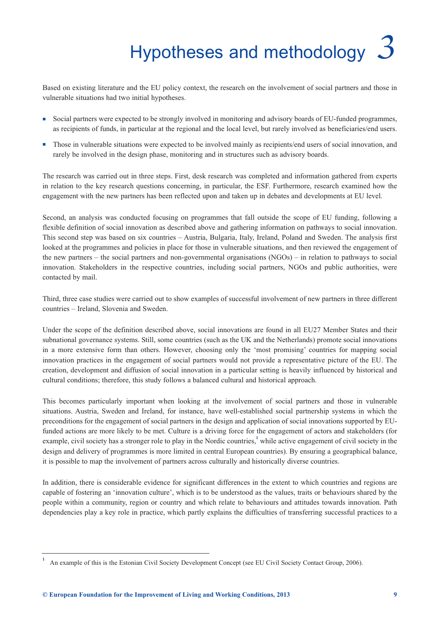# Hypotheses and methodology *3*

<span id="page-12-0"></span>Based on existing literature and the EU policy context, the research on the involvement of social partners and those in vulnerable situations had two initial hypotheses.

- <sup>n</sup> Social partners were expected to be strongly involved in monitoring and advisory boards of EU-funded programmes, as recipients of funds, in particular at the regional and the local level, but rarely involved as beneficiaries/end users.
- n Those in vulnerable situations were expected to be involved mainly as recipients/end users of social innovation, and rarely be involved in the design phase, monitoring and in structures such as advisory boards.

The research was carried out in three steps. First, desk research was completed and information gathered from experts in relation to the key research questions concerning, in particular, the ESF. Furthermore, research examined how the engagement with the new partners has been reflected upon and taken up in debates and developments at EU level.

Second, an analysis was conducted focusing on programmes that fall outside the scope of EU funding, following a flexible definition of social innovation as described above and gathering information on pathways to social innovation. This second step was based on six countries – Austria, Bulgaria, Italy, Ireland, Poland and Sweden. The analysis first looked at the programmes and policies in place for those in vulnerable situations, and then reviewed the engagement of the new partners – the social partners and non-governmental organisations (NGOs) – in relation to pathways to social innovation. Stakeholders in the respective countries, including social partners, NGOs and public authorities, were contacted by mail.

Third, three case studies were carried out to show examples of successful involvement of new partners in three different countries – Ireland, Slovenia and Sweden.

Under the scope of the definition described above, social innovations are found in all EU27 Member States and their subnational governance systems. Still, some countries (such as the UK and the Netherlands) promote social innovations in a more extensive form than others. However, choosing only the 'most promising' countries for mapping social innovation practices in the engagement of social partners would not provide a representative picture of the EU. The creation, development and diffusion of social innovation in a particular setting is heavily influenced by historical and cultural conditions; therefore, this study follows a balanced cultural and historical approach.

This becomes particularly important when looking at the involvement of social partners and those in vulnerable situations. Austria, Sweden and Ireland, for instance, have well-established social partnership systems in which the preconditions for the engagement of social partners in the design and application of social innovations supported by EUfunded actions are more likely to be met. Culture is a driving force for the engagement of actors and stakeholders (for example, civil society has a stronger role to play in the Nordic countries,<sup>1</sup> while active engagement of civil society in the design and delivery of programmes is more limited in central European countries). By ensuring a geographical balance, it is possible to map the involvement of partners across culturally and historically diverse countries.

In addition, there is considerable evidence for significant differences in the extent to which countries and regions are capable of fostering an 'innovation culture', which is to be understood as the values, traits or behaviours shared by the people within a community, region or country and which relate to behaviours and attitudes towards innovation. Path dependencies play a key role in practice, which partly explains the difficulties of transferring successful practices to a

**<sup>1</sup>** An example of this is the Estonian Civil Society Development Concept (see EU Civil Society Contact Group, 2006).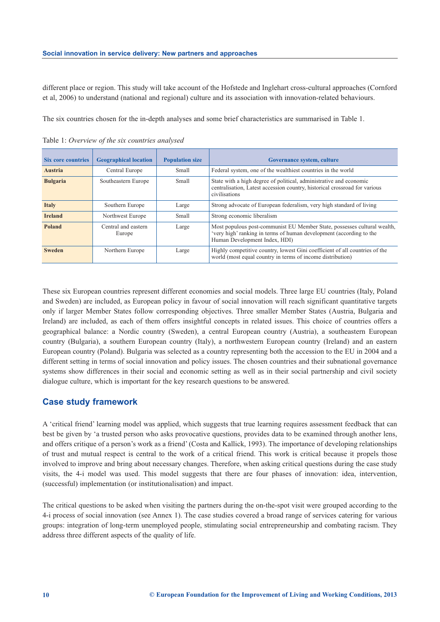different place or region. This study will take account of the Hofstede and Inglehart cross-cultural approaches (Cornford et al, 2006) to understand (national and regional) culture and its association with innovation-related behaviours.

The six countries chosen for the in-depth analyses and some brief characteristics are summarised in Table 1.

| <b>Six core countries</b> | <b>Geographical location</b>  | <b>Population size</b> | Governance system, culture                                                                                                                                                       |
|---------------------------|-------------------------------|------------------------|----------------------------------------------------------------------------------------------------------------------------------------------------------------------------------|
| <b>Austria</b>            | Central Europe                | <b>Small</b>           | Federal system, one of the wealthiest countries in the world                                                                                                                     |
| <b>Bulgaria</b>           | Southeastern Europe           | Small                  | State with a high degree of political, administrative and economic<br>centralisation, Latest accession country, historical crossroad for various<br>civilisations                |
| <b>Italy</b>              | Southern Europe               | Large                  | Strong advocate of European federalism, very high standard of living                                                                                                             |
| <b>Ireland</b>            | Northwest Europe              | <b>Small</b>           | Strong economic liberalism                                                                                                                                                       |
| <b>Poland</b>             | Central and eastern<br>Europe | Large                  | Most populous post-communist EU Member State, possesses cultural wealth,<br>'very high' ranking in terms of human development (according to the<br>Human Development Index, HDI) |
| <b>Sweden</b>             | Northern Europe               | Large                  | Highly competitive country, lowest Gini coefficient of all countries of the<br>world (most equal country in terms of income distribution)                                        |

Table 1: *Overview of the six countries analysed*

These six European countries represent different economies and social models. Three large EU countries (Italy, Poland and Sweden) are included, as European policy in favour of social innovation will reach significant quantitative targets only if larger Member States follow corresponding objectives. Three smaller Member States (Austria, Bulgaria and Ireland) are included, as each of them offers insightful concepts in related issues. This choice of countries offers a geographical balance: a Nordic country (Sweden), a central European country (Austria), a southeastern European country (Bulgaria), a southern European country (Italy), a northwestern European country (Ireland) and an eastern European country (Poland). Bulgaria was selected as a country representing both the accession to the EU in 2004 and a different setting in terms of social innovation and policy issues. The chosen countries and their subnational governance systems show differences in their social and economic setting as well as in their social partnership and civil society dialogue culture, which is important for the key research questions to be answered.

# **Case study framework**

A 'critical friend' learning model was applied, which suggests that true learning requires assessment feedback that can best be given by 'a trusted person who asks provocative questions, provides data to be examined through another lens, and offers critique of a person's work as a friend' (Costa and Kallick, 1993). The importance of developing relationships of trust and mutual respect is central to the work of a critical friend. This work is critical because it propels those involved to improve and bring about necessary changes. Therefore, when asking critical questions during the case study visits, the 4-i model was used. This model suggests that there are four phases of innovation: idea, intervention, (successful) implementation (or institutionalisation) and impact.

The critical questions to be asked when visiting the partners during the on-the-spot visit were grouped according to the 4-i process of social innovation (see Annex 1). The case studies covered a broad range of services catering for various groups: integration of long-term unemployed people, stimulating social entrepreneurship and combating racism. They address three different aspects of the quality of life.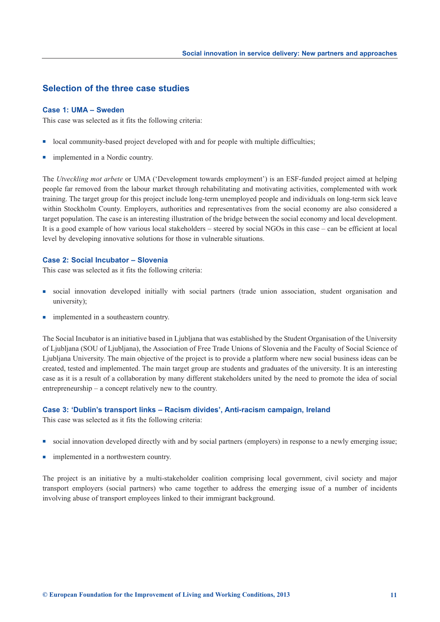# **Selection of the three case studies**

#### **Case 1: UMA – Sweden**

This case was selected as it fits the following criteria:

- n local community-based project developed with and for people with multiple difficulties;
- implemented in a Nordic country.

The *Utveckling mot arbete* or UMA ('Development towards employment') is an ESF-funded project aimed at helping people far removed from the labour market through rehabilitating and motivating activities, complemented with work training. The target group for this project include long-term unemployed people and individuals on long-term sick leave within Stockholm County. Employers, authorities and representatives from the social economy are also considered a target population. The case is an interesting illustration of the bridge between the social economy and local development. It is a good example of how various local stakeholders – steered by social NGOs in this case – can be efficient at local level by developing innovative solutions for those in vulnerable situations.

#### **Case 2: Social Incubator – Slovenia**

This case was selected as it fits the following criteria:

- <sup>n</sup> social innovation developed initially with social partners (trade union association, student organisation and university);
- implemented in a southeastern country.

The Social Incubator is an initiative based in Ljubljana that was established by the Student Organisation of the University of Ljubljana (SOU of Ljubljana), the Association of Free Trade Unions of Slovenia and the Faculty of Social Science of Ljubljana University. The main objective of the project is to provide a platform where new social business ideas can be created, tested and implemented. The main target group are students and graduates of the university. It is an interesting case as it is a result of a collaboration by many different stakeholders united by the need to promote the idea of social entrepreneurship – a concept relatively new to the country.

#### **Case 3: 'Dublin's transport links – Racism divides', Anti-racism campaign, Ireland**

This case was selected as it fits the following criteria:

- social innovation developed directly with and by social partners (employers) in response to a newly emerging issue;
- n implemented in a northwestern country.

The project is an initiative by a multi-stakeholder coalition comprising local government, civil society and major transport employers (social partners) who came together to address the emerging issue of a number of incidents involving abuse of transport employees linked to their immigrant background.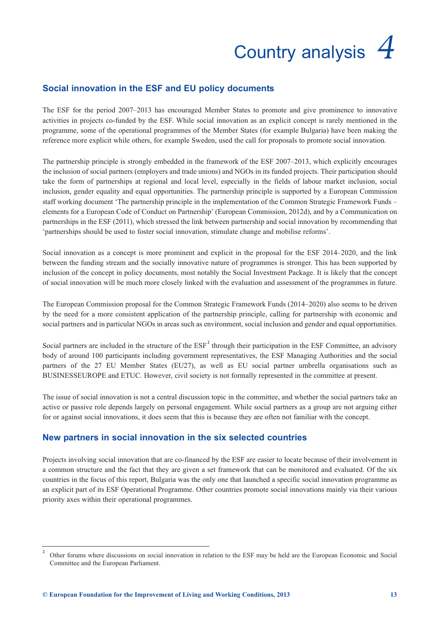# Country analysis *4*

# <span id="page-16-0"></span>**Social innovation in the ESF and EU policy documents**

The ESF for the period 2007–2013 has encouraged Member States to promote and give prominence to innovative activities in projects co-funded by the ESF. While social innovation as an explicit concept is rarely mentioned in the programme, some of the operational programmes of the Member States (for example Bulgaria) have been making the reference more explicit while others, for example Sweden, used the call for proposals to promote social innovation.

The partnership principle is strongly embedded in the framework of the ESF 2007–2013, which explicitly encourages the inclusion of social partners (employers and trade unions) and NGOs in its funded projects. Their participation should take the form of partnerships at regional and local level, especially in the fields of labour market inclusion, social inclusion, gender equality and equal opportunities. The partnership principle is supported by a European Commission staff working document 'The partnership principle in the implementation of the Common Strategic Framework Funds – elements for a European Code of Conduct on Partnership' (European Commission, 2012d), and by a Communication on partnerships in the ESF (2011), which stressed the link between partnership and social innovation by recommending that 'partnerships should be used to foster social innovation, stimulate change and mobilise reforms'.

Social innovation as a concept is more prominent and explicit in the proposal for the ESF 2014–2020, and the link between the funding stream and the socially innovative nature of programmes is stronger. This has been supported by inclusion of the concept in policy documents, most notably the Social Investment Package. It is likely that the concept of social innovation will be much more closely linked with the evaluation and assessment of the programmes in future.

The European Commission proposal for the Common Strategic Framework Funds (2014–2020) also seems to be driven by the need for a more consistent application of the partnership principle, calling for partnership with economic and social partners and in particular NGOs in areas such as environment, social inclusion and gender and equal opportunities.

Social partners are included in the structure of the ESF<sup>2</sup> through their participation in the ESF Committee, an advisory body of around 100 participants including government representatives, the ESF Managing Authorities and the social partners of the 27 EU Member States (EU27), as well as EU social partner umbrella organisations such as BUSINESSEUROPE and ETUC. However, civil society is not formally represented in the committee at present.

The issue of social innovation is not a central discussion topic in the committee, and whether the social partners take an active or passive role depends largely on personal engagement. While social partners as a group are not arguing either for or against social innovations, it does seem that this is because they are often not familiar with the concept.

# **New partners in social innovation in the six selected countries**

Projects involving social innovation that are co-financed by the ESF are easier to locate because of their involvement in a common structure and the fact that they are given a set framework that can be monitored and evaluated. Of the six countries in the focus of this report, Bulgaria was the only one that launched a specific social innovation programme as an explicit part of its ESF Operational Programme. Other countries promote social innovations mainly via their various priority axes within their operational programmes.

**<sup>2</sup>** Other forums where discussions on social innovation in relation to the ESF may be held are the European Economic and Social Committee and the European Parliament.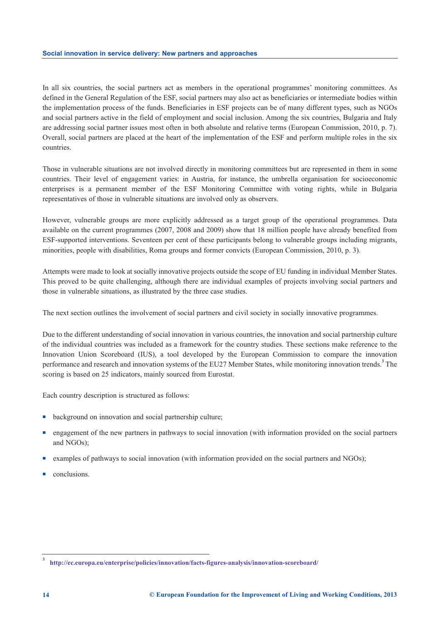In all six countries, the social partners act as members in the operational programmes' monitoring committees. As defined in the General Regulation of the ESF, social partners may also act as beneficiaries or intermediate bodies within the implementation process of the funds. Beneficiaries in ESF projects can be of many different types, such as NGOs and social partners active in the field of employment and social inclusion. Among the six countries, Bulgaria and Italy are addressing social partner issues most often in both absolute and relative terms (European Commission, 2010, p. 7). Overall, social partners are placed at the heart of the implementation of the ESF and perform multiple roles in the six countries.

Those in vulnerable situations are not involved directly in monitoring committees but are represented in them in some countries. Their level of engagement varies: in Austria, for instance, the umbrella organisation for socioeconomic enterprises is a permanent member of the ESF Monitoring Committee with voting rights, while in Bulgaria representatives of those in vulnerable situations are involved only as observers.

However, vulnerable groups are more explicitly addressed as a target group of the operational programmes. Data available on the current programmes (2007, 2008 and 2009) show that 18 million people have already benefited from ESF-supported interventions. Seventeen per cent of these participants belong to vulnerable groups including migrants, minorities, people with disabilities, Roma groups and former convicts (European Commission, 2010, p. 3).

Attempts were made to look at socially innovative projects outside the scope of EU funding in individual Member States. This proved to be quite challenging, although there are individual examples of projects involving social partners and those in vulnerable situations, as illustrated by the three case studies.

The next section outlines the involvement of social partners and civil society in socially innovative programmes.

Due to the different understanding of social innovation in various countries, the innovation and social partnership culture of the individual countries was included as a framework for the country studies. These sections make reference to the Innovation Union Scoreboard (IUS), a tool developed by the European Commission to compare the innovation performance and research and innovation systems of the EU27 Member States, while monitoring innovation trends.**<sup>3</sup>** The scoring is based on 25 indicators, mainly sourced from Eurostat.

Each country description is structured as follows:

- background on innovation and social partnership culture;
- <sup>n</sup> engagement of the new partners in pathways to social innovation (with information provided on the social partners and NGOs);
- examples of pathways to social innovation (with information provided on the social partners and NGOs);
- conclusions.

**<sup>3</sup> <http://ec.europa.eu/enterprise/policies/innovation/facts-figures-analysis/innovation-scoreboard/>**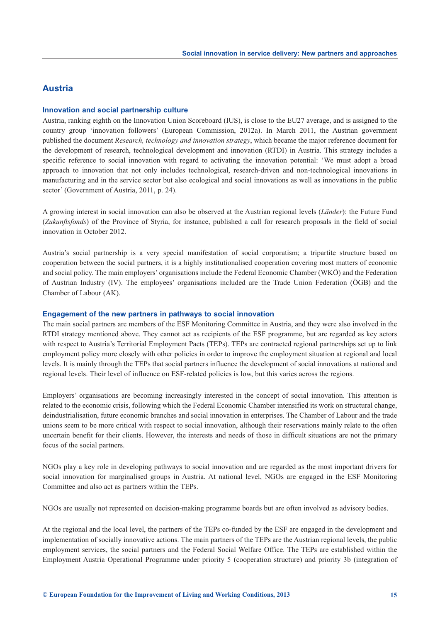# **Austria**

#### **Innovation and social partnership culture**

Austria, ranking eighth on the Innovation Union Scoreboard (IUS), is close to the EU27 average, and is assigned to the country group 'innovation followers' (European Commission, 2012a). In March 2011, the Austrian government published the document *Research, technology and innovation strategy*, which became the major reference document for the development of research, technological development and innovation (RTDI) in Austria. This strategy includes a specific reference to social innovation with regard to activating the innovation potential: 'We must adopt a broad approach to innovation that not only includes technological, research-driven and non-technological innovations in manufacturing and in the service sector but also ecological and social innovations as well as innovations in the public sector' (Government of Austria, 2011, p. 24).

A growing interest in social innovation can also be observed at the Austrian regional levels (*Länder*): the Future Fund (*Zukunftsfonds*) of the Province of Styria, for instance, published a call for research proposals in the field of social innovation in October 2012.

Austria's social partnership is a very special manifestation of social corporatism; a tripartite structure based on cooperation between the social partners, it is a highly institutionalised cooperation covering most matters of economic and social policy. The main employers' organisations include the Federal Economic Chamber (WKÖ) and the Federation of Austrian Industry (IV). The employees' organisations included are the Trade Union Federation (ÖGB) and the Chamber of Labour (AK).

#### **Engagement of the new partners in pathways to social innovation**

The main social partners are members of the ESF Monitoring Committee in Austria, and they were also involved in the RTDI strategy mentioned above. They cannot act as recipients of the ESF programme, but are regarded as key actors with respect to Austria's Territorial Employment Pacts (TEPs). TEPs are contracted regional partnerships set up to link employment policy more closely with other policies in order to improve the employment situation at regional and local levels. It is mainly through the TEPs that social partners influence the development of social innovations at national and regional levels. Their level of influence on ESF-related policies is low, but this varies across the regions.

Employers' organisations are becoming increasingly interested in the concept of social innovation. This attention is related to the economic crisis, following which the Federal Economic Chamber intensified its work on structural change, deindustrialisation, future economic branches and social innovation in enterprises. The Chamber of Labour and the trade unions seem to be more critical with respect to social innovation, although their reservations mainly relate to the often uncertain benefit for their clients. However, the interests and needs of those in difficult situations are not the primary focus of the social partners.

NGOs play a key role in developing pathways to social innovation and are regarded as the most important drivers for social innovation for marginalised groups in Austria. At national level, NGOs are engaged in the ESF Monitoring Committee and also act as partners within the TEPs.

NGOs are usually not represented on decision-making programme boards but are often involved as advisory bodies.

At the regional and the local level, the partners of the TEPs co-funded by the ESF are engaged in the development and implementation of socially innovative actions. The main partners of the TEPs are the Austrian regional levels, the public employment services, the social partners and the Federal Social Welfare Office. The TEPs are established within the Employment Austria Operational Programme under priority 5 (cooperation structure) and priority 3b (integration of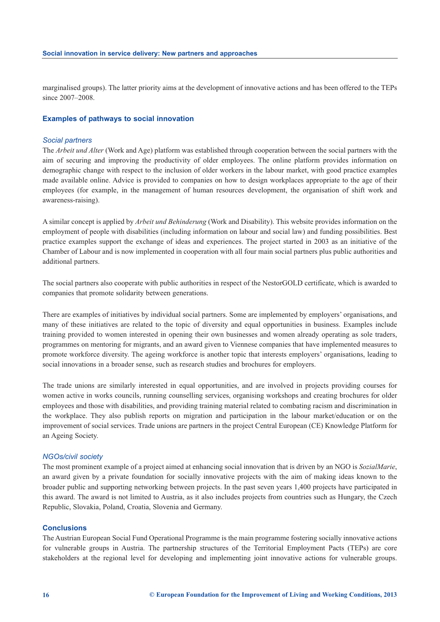marginalised groups). The latter priority aims at the development of innovative actions and has been offered to the TEPs since 2007–2008.

#### **Examples of pathways to social innovation**

#### *Social partners*

The *Arbeit und Alter* (Work and Age) platform was established through cooperation between the social partners with the aim of securing and improving the productivity of older employees. The online platform provides information on demographic change with respect to the inclusion of older workers in the labour market, with good practice examples made available online. Advice is provided to companies on how to design workplaces appropriate to the age of their employees (for example, in the management of human resources development, the organisation of shift work and awareness-raising).

A similar concept is applied by *Arbeit und Behinderung* (Work and Disability). This website provides information on the employment of people with disabilities (including information on labour and social law) and funding possibilities. Best practice examples support the exchange of ideas and experiences. The project started in 2003 as an initiative of the Chamber of Labour and is now implemented in cooperation with all four main social partners plus public authorities and additional partners.

The social partners also cooperate with public authorities in respect of the NestorGOLD certificate, which is awarded to companies that promote solidarity between generations.

There are examples of initiatives by individual social partners. Some are implemented by employers' organisations, and many of these initiatives are related to the topic of diversity and equal opportunities in business. Examples include training provided to women interested in opening their own businesses and women already operating as sole traders, programmes on mentoring for migrants, and an award given to Viennese companies that have implemented measures to promote workforce diversity. The ageing workforce is another topic that interests employers' organisations, leading to social innovations in a broader sense, such as research studies and brochures for employers.

The trade unions are similarly interested in equal opportunities, and are involved in projects providing courses for women active in works councils, running counselling services, organising workshops and creating brochures for older employees and those with disabilities, and providing training material related to combating racism and discrimination in the workplace. They also publish reports on migration and participation in the labour market/education or on the improvement of social services. Trade unions are partners in the project Central European (CE) Knowledge Platform for an Ageing Society.

#### *NGOs/civil society*

The most prominent example of a project aimed at enhancing social innovation that is driven by an NGO is *SozialMarie*, an award given by a private foundation for socially innovative projects with the aim of making ideas known to the broader public and supporting networking between projects. In the past seven years 1,400 projects have participated in this award. The award is not limited to Austria, as it also includes projects from countries such as Hungary, the Czech Republic, Slovakia, Poland, Croatia, Slovenia and Germany.

#### **Conclusions**

The Austrian European Social Fund Operational Programme is the main programme fostering socially innovative actions for vulnerable groups in Austria. The partnership structures of the Territorial Employment Pacts (TEPs) are core stakeholders at the regional level for developing and implementing joint innovative actions for vulnerable groups.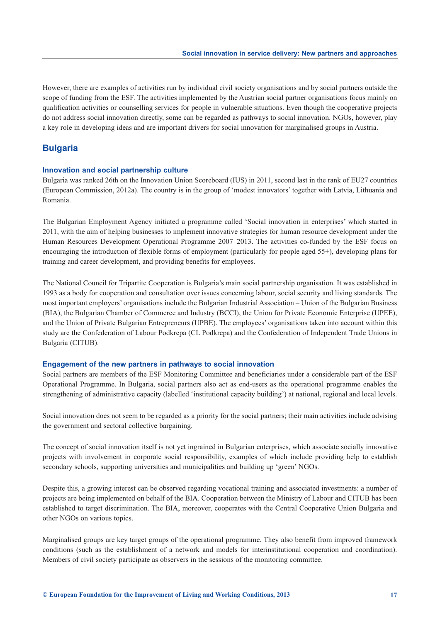However, there are examples of activities run by individual civil society organisations and by social partners outside the scope of funding from the ESF. The activities implemented by the Austrian social partner organisations focus mainly on qualification activities or counselling services for people in vulnerable situations. Even though the cooperative projects do not address social innovation directly, some can be regarded as pathways to social innovation. NGOs, however, play a key role in developing ideas and are important drivers for social innovation for marginalised groups in Austria.

# **Bulgaria**

#### **Innovation and social partnership culture**

Bulgaria was ranked 26th on the Innovation Union Scoreboard (IUS) in 2011, second last in the rank of EU27 countries (European Commission, 2012a). The country is in the group of 'modest innovators' together with Latvia, Lithuania and Romania.

The Bulgarian Employment Agency initiated a programme called 'Social innovation in enterprises' which started in 2011, with the aim of helping businesses to implement innovative strategies for human resource development under the Human Resources Development Operational Programme 2007–2013. The activities co-funded by the ESF focus on encouraging the introduction of flexible forms of employment (particularly for people aged 55+), developing plans for training and career development, and providing benefits for employees.

The National Council for Tripartite Cooperation is Bulgaria's main social partnership organisation. It was established in 1993 as a body for cooperation and consultation over issues concerning labour, social security and living standards. The most important employers' organisations include the Bulgarian Industrial Association – Union of the Bulgarian Business (BIA), the Bulgarian Chamber of Commerce and Industry (BCCI), the Union for Private Economic Enterprise (UPEE), and the Union of Private Bulgarian Entrepreneurs (UPBE). The employees' organisations taken into account within this study are the Confederation of Labour Podkrepa (CL Podkrepa) and the Confederation of Independent Trade Unions in Bulgaria (CITUB).

#### **Engagement of the new partners in pathways to social innovation**

Social partners are members of the ESF Monitoring Committee and beneficiaries under a considerable part of the ESF Operational Programme. In Bulgaria, social partners also act as end-users as the operational programme enables the strengthening of administrative capacity (labelled 'institutional capacity building') at national, regional and local levels.

Social innovation does not seem to be regarded as a priority for the social partners; their main activities include advising the government and sectoral collective bargaining.

The concept of social innovation itself is not yet ingrained in Bulgarian enterprises, which associate socially innovative projects with involvement in corporate social responsibility, examples of which include providing help to establish secondary schools, supporting universities and municipalities and building up 'green' NGOs.

Despite this, a growing interest can be observed regarding vocational training and associated investments: a number of projects are being implemented on behalf of the BIA. Cooperation between the Ministry of Labour and CITUB has been established to target discrimination. The BIA, moreover, cooperates with the Central Cooperative Union Bulgaria and other NGOs on various topics.

Marginalised groups are key target groups of the operational programme. They also benefit from improved framework conditions (such as the establishment of a network and models for interinstitutional cooperation and coordination). Members of civil society participate as observers in the sessions of the monitoring committee.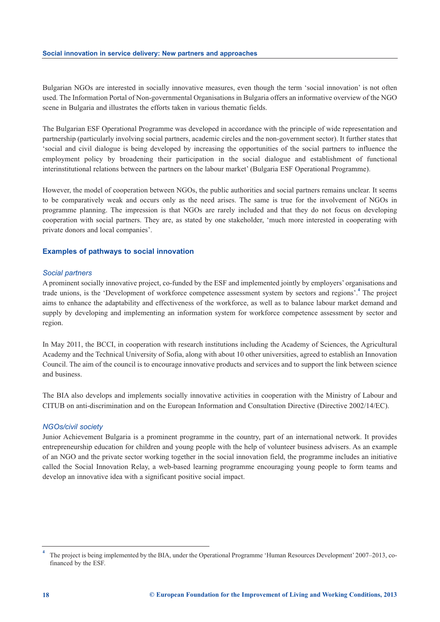Bulgarian NGOs are interested in socially innovative measures, even though the term 'social innovation' is not often used. The Information Portal of Non-governmental Organisations in Bulgaria offers an informative overview of the NGO scene in Bulgaria and illustrates the efforts taken in various thematic fields.

The Bulgarian ESF Operational Programme was developed in accordance with the principle of wide representation and partnership (particularly involving social partners, academic circles and the non-government sector). It further states that 'social and civil dialogue is being developed by increasing the opportunities of the social partners to influence the employment policy by broadening their participation in the social dialogue and establishment of functional interinstitutional relations between the partners on the labour market' (Bulgaria ESF Operational Programme).

However, the model of cooperation between NGOs, the public authorities and social partners remains unclear. It seems to be comparatively weak and occurs only as the need arises. The same is true for the involvement of NGOs in programme planning. The impression is that NGOs are rarely included and that they do not focus on developing cooperation with social partners. They are, as stated by one stakeholder, 'much more interested in cooperating with private donors and local companies'.

#### **Examples of pathways to social innovation**

#### *Social partners*

A prominent socially innovative project, co-funded by the ESF and implemented jointly by employers' organisations and trade unions, is the 'Development of workforce competence assessment system by sectors and regions'.**<sup>4</sup>** The project aims to enhance the adaptability and effectiveness of the workforce, as well as to balance labour market demand and supply by developing and implementing an information system for workforce competence assessment by sector and region.

In May 2011, the BCCI, in cooperation with research institutions including the Academy of Sciences, the Agricultural Academy and the Technical University of Sofia, along with about 10 other universities, agreed to establish an Innovation Council. The aim of the council is to encourage innovative products and services and to support the link between science and business.

The BIA also develops and implements socially innovative activities in cooperation with the Ministry of Labour and CITUB on anti-discrimination and on the European Information and Consultation Directive (Directive 2002/14/EC).

#### *NGOs/civil society*

Junior Achievement Bulgaria is a prominent programme in the country, part of an international network. It provides entrepreneurship education for children and young people with the help of volunteer business advisers. As an example of an NGO and the private sector working together in the social innovation field, the programme includes an initiative called the Social Innovation Relay, a web-based learning programme encouraging young people to form teams and develop an innovative idea with a significant positive social impact.

**<sup>4</sup>** The project is being implemented by the BIA, under the Operational Programme 'Human Resources Development' 2007–2013, cofinanced by the ESF.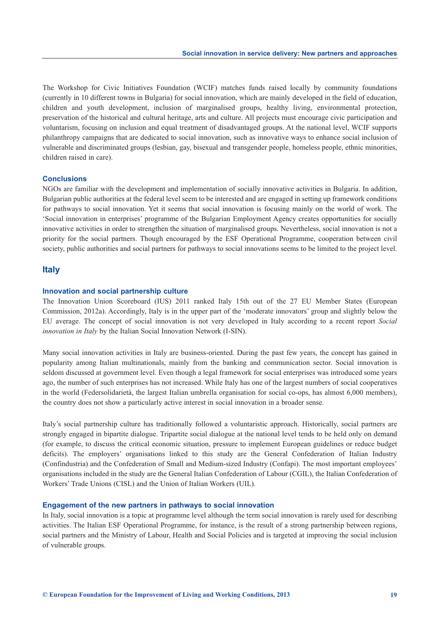The Workshop for Civic Initiatives Foundation (WCIF) matches funds raised locally by community foundations (currently in 10 different towns in Bulgaria) for social innovation, which are mainly developed in the field of education, children and youth development, inclusion of marginalised groups, healthy living, environmental protection, preservation of the historical and cultural heritage, arts and culture. All projects must encourage civic participation and voluntarism, focusing on inclusion and equal treatment of disadvantaged groups. At the national level, WCIF supports philanthropy campaigns that are dedicated to social innovation, such as innovative ways to enhance social inclusion of vulnerable and discriminated groups (lesbian, gay, bisexual and transgender people, homeless people, ethnic minorities, children raised in care).

#### **Conclusions**

NGOs are familiar with the development and implementation of socially innovative activities in Bulgaria. In addition, Bulgarian public authorities at the federal level seem to be interested and are engaged in setting up framework conditions for pathways to social innovation. Yet it seems that social innovation is focusing mainly on the world of work. The 'Social innovation in enterprises' programme of the Bulgarian Employment Agency creates opportunities for socially innovative activities in order to strengthen the situation of marginalised groups. Nevertheless, social innovation is not a priority for the social partners. Though encouraged by the ESF Operational Programme, cooperation between civil society, public authorities and social partners for pathways to social innovations seems to be limited to the project level.

#### **Italy**

#### **Innovation and social partnership culture**

The Innovation Union Scoreboard (IUS) 2011 ranked Italy 15th out of the 27 EU Member States (European Commission, 2012a). Accordingly, Italy is in the upper part of the 'moderate innovators' group and slightly below the EU average. The concept of social innovation is not very developed in Italy according to a recent report *Social innovation in Italy* by the Italian Social Innovation Network (I-SIN).

Many social innovation activities in Italy are business-oriented. During the past few years, the concept has gained in popularity among Italian multinationals, mainly from the banking and communication sector. Social innovation is seldom discussed at government level. Even though a legal framework for social enterprises was introduced some years ago, the number of such enterprises has not increased. While Italy has one of the largest numbers of social cooperatives in the world (Federsolidarietà, the largest Italian umbrella organisation for social co-ops, has almost 6,000 members), the country does not show a particularly active interest in social innovation in a broader sense.

Italy's social partnership culture has traditionally followed a voluntaristic approach. Historically, social partners are strongly engaged in bipartite dialogue. Tripartite social dialogue at the national level tends to be held only on demand (for example, to discuss the critical economic situation, pressure to implement European guidelines or reduce budget deficits). The employers' organisations linked to this study are the General Confederation of Italian Industry (Confindustria) and the Confederation of Small and Medium-sized Industry (Confapi). The most important employees' organisations included in the study are the General Italian Confederation of Labour (CGIL), the Italian Confederation of Workers' Trade Unions (CISL) and the Union of Italian Workers (UIL).

#### **Engagement of the new partners in pathways to social innovation**

In Italy, social innovation is a topic at programme level although the term social innovation is rarely used for describing activities. The Italian ESF Operational Programme, for instance, is the result of a strong partnership between regions, social partners and the Ministry of Labour, Health and Social Policies and is targeted at improving the social inclusion of vulnerable groups.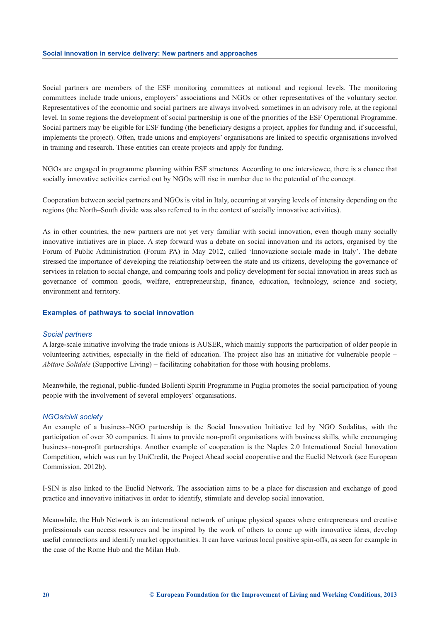Social partners are members of the ESF monitoring committees at national and regional levels. The monitoring committees include trade unions, employers' associations and NGOs or other representatives of the voluntary sector. Representatives of the economic and social partners are always involved, sometimes in an advisory role, at the regional level. In some regions the development of social partnership is one of the priorities of the ESF Operational Programme. Social partners may be eligible for ESF funding (the beneficiary designs a project, applies for funding and, if successful, implements the project). Often, trade unions and employers' organisations are linked to specific organisations involved in training and research. These entities can create projects and apply for funding.

NGOs are engaged in programme planning within ESF structures. According to one interviewee, there is a chance that socially innovative activities carried out by NGOs will rise in number due to the potential of the concept.

Cooperation between social partners and NGOs is vital in Italy, occurring at varying levels of intensity depending on the regions (the North–South divide was also referred to in the context of socially innovative activities).

As in other countries, the new partners are not yet very familiar with social innovation, even though many socially innovative initiatives are in place. A step forward was a debate on social innovation and its actors, organised by the Forum of Public Administration (Forum PA) in May 2012, called 'Innovazione sociale made in Italy'. The debate stressed the importance of developing the relationship between the state and its citizens, developing the governance of services in relation to social change, and comparing tools and policy development for social innovation in areas such as governance of common goods, welfare, entrepreneurship, finance, education, technology, science and society, environment and territory.

#### **Examples of pathways to social innovation**

#### *Social partners*

A large-scale initiative involving the trade unions is AUSER, which mainly supports the participation of older people in volunteering activities, especially in the field of education. The project also has an initiative for vulnerable people – *Abitare Solidale* (Supportive Living) – facilitating cohabitation for those with housing problems.

Meanwhile, the regional, public-funded Bollenti Spiriti Programme in Puglia promotes the social participation of young people with the involvement of several employers' organisations.

#### *NGOs/civil society*

An example of a business–NGO partnership is the Social Innovation Initiative led by NGO Sodalitas, with the participation of over 30 companies. It aims to provide non-profit organisations with business skills, while encouraging business–non-profit partnerships. Another example of cooperation is the Naples 2.0 International Social Innovation Competition, which was run by UniCredit, the Project Ahead social cooperative and the Euclid Network (see European Commission, 2012b).

I-SIN is also linked to the Euclid Network. The association aims to be a place for discussion and exchange of good practice and innovative initiatives in order to identify, stimulate and develop social innovation.

Meanwhile, the Hub Network is an international network of unique physical spaces where entrepreneurs and creative professionals can access resources and be inspired by the work of others to come up with innovative ideas, develop useful connections and identify market opportunities. It can have various local positive spin-offs, as seen for example in the case of the Rome Hub and the Milan Hub.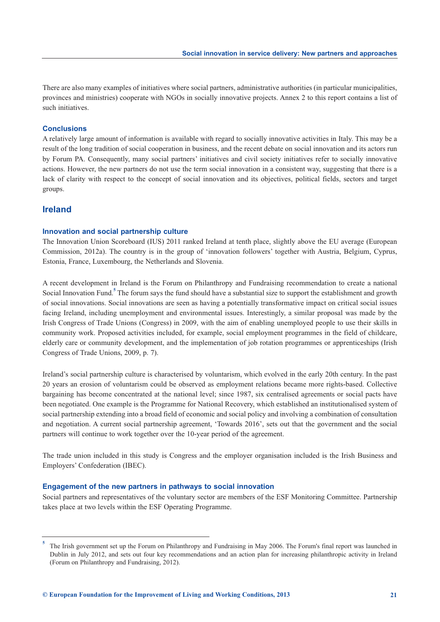There are also many examples of initiatives where social partners, administrative authorities (in particular municipalities, provinces and ministries) cooperate with NGOs in socially innovative projects. Annex 2 to this report contains a list of such initiatives.

#### **Conclusions**

A relatively large amount of information is available with regard to socially innovative activities in Italy. This may be a result of the long tradition of social cooperation in business, and the recent debate on social innovation and its actors run by Forum PA. Consequently, many social partners' initiatives and civil society initiatives refer to socially innovative actions. However, the new partners do not use the term social innovation in a consistent way, suggesting that there is a lack of clarity with respect to the concept of social innovation and its objectives, political fields, sectors and target groups.

# **Ireland**

#### **Innovation and social partnership culture**

The Innovation Union Scoreboard (IUS) 2011 ranked Ireland at tenth place, slightly above the EU average (European Commission, 2012a). The country is in the group of 'innovation followers' together with Austria, Belgium, Cyprus, Estonia, France, Luxembourg, the Netherlands and Slovenia.

A recent development in Ireland is the Forum on Philanthropy and Fundraising recommendation to create a national Social Innovation Fund.<sup>5</sup> The forum says the fund should have a substantial size to support the establishment and growth of social innovations. Social innovations are seen as having a potentially transformative impact on critical social issues facing Ireland, including unemployment and environmental issues. Interestingly, a similar proposal was made by the Irish Congress of Trade Unions (Congress) in 2009, with the aim of enabling unemployed people to use their skills in community work. Proposed activities included, for example, social employment programmes in the field of childcare, elderly care or community development, and the implementation of job rotation programmes or apprenticeships (Irish Congress of Trade Unions, 2009, p. 7).

Ireland's social partnership culture is characterised by voluntarism, which evolved in the early 20th century. In the past 20 years an erosion of voluntarism could be observed as employment relations became more rights-based. Collective bargaining has become concentrated at the national level; since 1987, six centralised agreements or social pacts have been negotiated. One example is the Programme for National Recovery, which established an institutionalised system of social partnership extending into a broad field of economic and social policy and involving a combination of consultation and negotiation. A current social partnership agreement, 'Towards 2016', sets out that the government and the social partners will continue to work together over the 10-year period of the agreement.

The trade union included in this study is Congress and the employer organisation included is the Irish Business and Employers' Confederation (IBEC).

#### **Engagement of the new partners in pathways to social innovation**

Social partners and representatives of the voluntary sector are members of the ESF Monitoring Committee. Partnership takes place at two levels within the ESF Operating Programme.

**<sup>5</sup>** The Irish government set up the Forum on Philanthropy and Fundraising in May 2006. The Forum's final report was launched in Dublin in July 2012, and sets out four key recommendations and an action plan for increasing philanthropic activity in Ireland (Forum on Philanthropy and Fundraising, 2012).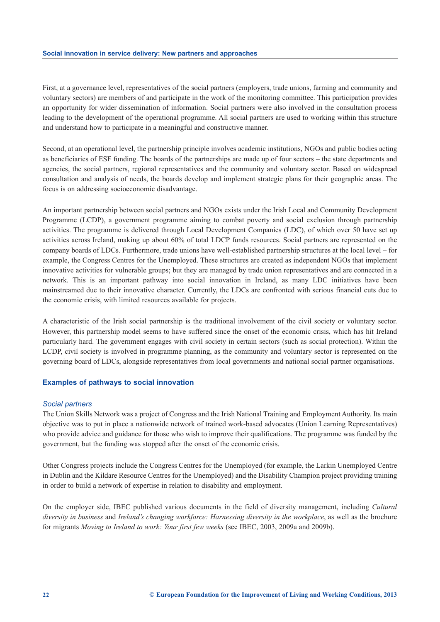First, at a governance level, representatives of the social partners (employers, trade unions, farming and community and voluntary sectors) are members of and participate in the work of the monitoring committee. This participation provides an opportunity for wider dissemination of information. Social partners were also involved in the consultation process leading to the development of the operational programme. All social partners are used to working within this structure and understand how to participate in a meaningful and constructive manner.

Second, at an operational level, the partnership principle involves academic institutions, NGOs and public bodies acting as beneficiaries of ESF funding. The boards of the partnerships are made up of four sectors – the state departments and agencies, the social partners, regional representatives and the community and voluntary sector. Based on widespread consultation and analysis of needs, the boards develop and implement strategic plans for their geographic areas. The focus is on addressing socioeconomic disadvantage.

An important partnership between social partners and NGOs exists under the Irish Local and Community Development Programme (LCDP), a government programme aiming to combat poverty and social exclusion through partnership activities. The programme is delivered through Local Development Companies (LDC), of which over 50 have set up activities across Ireland, making up about 60% of total LDCP funds resources. Social partners are represented on the company boards of LDCs. Furthermore, trade unions have well-established partnership structures at the local level – for example, the Congress Centres for the Unemployed. These structures are created as independent NGOs that implement innovative activities for vulnerable groups; but they are managed by trade union representatives and are connected in a network. This is an important pathway into social innovation in Ireland, as many LDC initiatives have been mainstreamed due to their innovative character. Currently, the LDCs are confronted with serious financial cuts due to the economic crisis, with limited resources available for projects.

A characteristic of the Irish social partnership is the traditional involvement of the civil society or voluntary sector. However, this partnership model seems to have suffered since the onset of the economic crisis, which has hit Ireland particularly hard. The government engages with civil society in certain sectors (such as social protection). Within the LCDP, civil society is involved in programme planning, as the community and voluntary sector is represented on the governing board of LDCs, alongside representatives from local governments and national social partner organisations.

#### **Examples of pathways to social innovation**

#### *Social partners*

The Union Skills Network was a project of Congress and the Irish National Training and Employment Authority. Its main objective was to put in place a nationwide network of trained work-based advocates (Union Learning Representatives) who provide advice and guidance for those who wish to improve their qualifications. The programme was funded by the government, but the funding was stopped after the onset of the economic crisis.

Other Congress projects include the Congress Centres for the Unemployed (for example, the Larkin Unemployed Centre in Dublin and the Kildare Resource Centres for the Unemployed) and the Disability Champion project providing training in order to build a network of expertise in relation to disability and employment.

On the employer side, IBEC published various documents in the field of diversity management, including *Cultural diversity in business* and *Ireland's changing workforce: Harnessing diversity in the workplace*, as well as the brochure for migrants *Moving to Ireland to work: Your first few weeks* (see IBEC, 2003, 2009a and 2009b).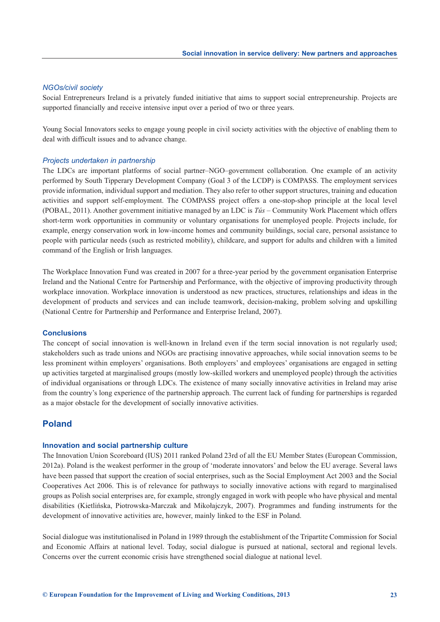#### *NGOs/civil society*

Social Entrepreneurs Ireland is a privately funded initiative that aims to support social entrepreneurship. Projects are supported financially and receive intensive input over a period of two or three years.

Young Social Innovators seeks to engage young people in civil society activities with the objective of enabling them to deal with difficult issues and to advance change.

#### *Projects undertaken in partnership*

The LDCs are important platforms of social partner–NGO–government collaboration. One example of an activity performed by South Tipperary Development Company (Goal 3 of the LCDP) is COMPASS. The employment services provide information, individual support and mediation. They also refer to other support structures, training and education activities and support self-employment. The COMPASS project offers a one-stop-shop principle at the local level (POBAL, 2011). Another government initiative managed by an LDC is *Tús* – Community Work Placement which offers short-term work opportunities in community or voluntary organisations for unemployed people. Projects include, for example, energy conservation work in low-income homes and community buildings, social care, personal assistance to people with particular needs (such as restricted mobility), childcare, and support for adults and children with a limited command of the English or Irish languages.

The Workplace Innovation Fund was created in 2007 for a three-year period by the government organisation Enterprise Ireland and the National Centre for Partnership and Performance, with the objective of improving productivity through workplace innovation. Workplace innovation is understood as new practices, structures, relationships and ideas in the development of products and services and can include teamwork, decision-making, problem solving and upskilling (National Centre for Partnership and Performance and Enterprise Ireland, 2007).

#### **Conclusions**

The concept of social innovation is well-known in Ireland even if the term social innovation is not regularly used; stakeholders such as trade unions and NGOs are practising innovative approaches, while social innovation seems to be less prominent within employers' organisations. Both employers' and employees' organisations are engaged in setting up activities targeted at marginalised groups (mostly low-skilled workers and unemployed people) through the activities of individual organisations or through LDCs. The existence of many socially innovative activities in Ireland may arise from the country's long experience of the partnership approach. The current lack of funding for partnerships is regarded as a major obstacle for the development of socially innovative activities.

# **Poland**

#### **Innovation and social partnership culture**

The Innovation Union Scoreboard (IUS) 2011 ranked Poland 23rd of all the EU Member States (European Commission, 2012a). Poland is the weakest performer in the group of 'moderate innovators' and below the EU average. Several laws have been passed that support the creation of social enterprises, such as the Social Employment Act 2003 and the Social Cooperatives Act 2006. This is of relevance for pathways to socially innovative actions with regard to marginalised groups as Polish social enterprises are, for example, strongly engaged in work with people who have physical and mental disabilities (Kietlińska, Piotrowska-Marczak and Mikołajczyk, 2007). Programmes and funding instruments for the development of innovative activities are, however, mainly linked to the ESF in Poland.

Social dialogue was institutionalised in Poland in 1989 through the establishment of the Tripartite Commission for Social and Economic Affairs at national level. Today, social dialogue is pursued at national, sectoral and regional levels. Concerns over the current economic crisis have strengthened social dialogue at national level.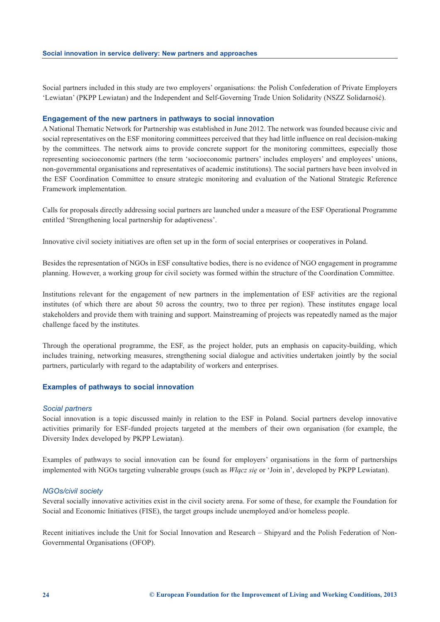Social partners included in this study are two employers' organisations: the Polish Confederation of Private Employers 'Lewiatan' (PKPP Lewiatan) and the Independent and Self-Governing Trade Union Solidarity (NSZZ Solidarność).

#### **Engagement of the new partners in pathways to social innovation**

A National Thematic Network for Partnership was established in June 2012. The network was founded because civic and social representatives on the ESF monitoring committees perceived that they had little influence on real decision-making by the committees. The network aims to provide concrete support for the monitoring committees, especially those representing socioeconomic partners (the term 'socioeconomic partners' includes employers' and employees' unions, non-governmental organisations and representatives of academic institutions). The social partners have been involved in the ESF Coordination Committee to ensure strategic monitoring and evaluation of the National Strategic Reference Framework implementation.

Calls for proposals directly addressing social partners are launched under a measure of the ESF Operational Programme entitled 'Strengthening local partnership for adaptiveness'.

Innovative civil society initiatives are often set up in the form of social enterprises or cooperatives in Poland.

Besides the representation of NGOs in ESF consultative bodies, there is no evidence of NGO engagement in programme planning. However, a working group for civil society was formed within the structure of the Coordination Committee.

Institutions relevant for the engagement of new partners in the implementation of ESF activities are the regional institutes (of which there are about 50 across the country, two to three per region). These institutes engage local stakeholders and provide them with training and support. Mainstreaming of projects was repeatedly named as the major challenge faced by the institutes.

Through the operational programme, the ESF, as the project holder, puts an emphasis on capacity-building, which includes training, networking measures, strengthening social dialogue and activities undertaken jointly by the social partners, particularly with regard to the adaptability of workers and enterprises.

#### **Examples of pathways to social innovation**

#### *Social partners*

Social innovation is a topic discussed mainly in relation to the ESF in Poland. Social partners develop innovative activities primarily for ESF-funded projects targeted at the members of their own organisation (for example, the Diversity Index developed by PKPP Lewiatan).

Examples of pathways to social innovation can be found for employers' organisations in the form of partnerships implemented with NGOs targeting vulnerable groups (such as *Włącz się* or 'Join in', developed by PKPP Lewiatan).

#### *NGOs/civil society*

Several socially innovative activities exist in the civil society arena. For some of these, for example the Foundation for Social and Economic Initiatives (FISE), the target groups include unemployed and/or homeless people.

Recent initiatives include the Unit for Social Innovation and Research – Shipyard and the Polish Federation of Non-Governmental Organisations (OFOP).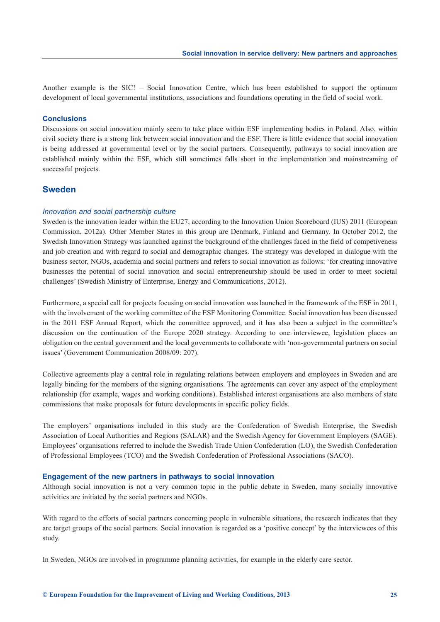Another example is the SIC! – Social Innovation Centre, which has been established to support the optimum development of local governmental institutions, associations and foundations operating in the field of social work.

#### **Conclusions**

Discussions on social innovation mainly seem to take place within ESF implementing bodies in Poland. Also, within civil society there is a strong link between social innovation and the ESF. There is little evidence that social innovation is being addressed at governmental level or by the social partners. Consequently, pathways to social innovation are established mainly within the ESF, which still sometimes falls short in the implementation and mainstreaming of successful projects.

# **Sweden**

#### *Innovation and social partnership culture*

Sweden is the innovation leader within the EU27, according to the Innovation Union Scoreboard (IUS) 2011 (European Commission, 2012a). Other Member States in this group are Denmark, Finland and Germany. In October 2012, the Swedish Innovation Strategy was launched against the background of the challenges faced in the field of competiveness and job creation and with regard to social and demographic changes. The strategy was developed in dialogue with the business sector, NGOs, academia and social partners and refers to social innovation as follows: 'for creating innovative businesses the potential of social innovation and social entrepreneurship should be used in order to meet societal challenges' (Swedish Ministry of Enterprise, Energy and Communications, 2012).

Furthermore, a special call for projects focusing on social innovation was launched in the framework of the ESF in 2011, with the involvement of the working committee of the ESF Monitoring Committee. Social innovation has been discussed in the 2011 ESF Annual Report, which the committee approved, and it has also been a subject in the committee's discussion on the continuation of the Europe 2020 strategy. According to one interviewee, legislation places an obligation on the central government and the local governments to collaborate with 'non-governmental partners on social issues' (Government Communication 2008/09: 207).

Collective agreements play a central role in regulating relations between employers and employees in Sweden and are legally binding for the members of the signing organisations. The agreements can cover any aspect of the employment relationship (for example, wages and working conditions). Established interest organisations are also members of state commissions that make proposals for future developments in specific policy fields.

The employers' organisations included in this study are the Confederation of Swedish Enterprise, the Swedish Association of Local Authorities and Regions (SALAR) and the Swedish Agency for Government Employers (SAGE). Employees' organisations referred to include the Swedish Trade Union Confederation (LO), the Swedish Confederation of Professional Employees (TCO) and the Swedish Confederation of Professional Associations (SACO).

#### **Engagement of the new partners in pathways to social innovation**

Although social innovation is not a very common topic in the public debate in Sweden, many socially innovative activities are initiated by the social partners and NGOs.

With regard to the efforts of social partners concerning people in vulnerable situations, the research indicates that they are target groups of the social partners. Social innovation is regarded as a 'positive concept' by the interviewees of this study.

In Sweden, NGOs are involved in programme planning activities, for example in the elderly care sector.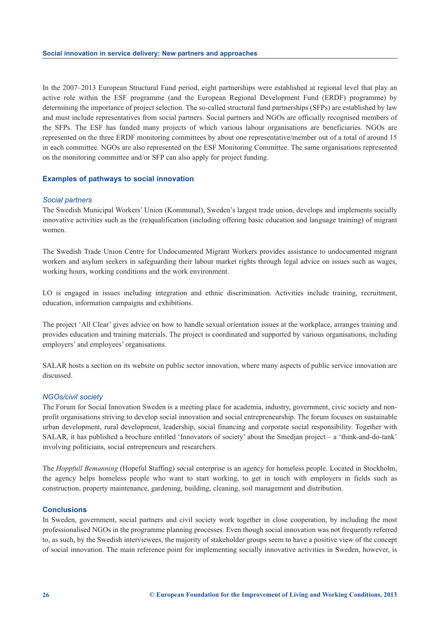In the 2007–2013 European Structural Fund period, eight partnerships were established at regional level that play an active role within the ESF programme (and the European Regional Development Fund (ERDF) programme) by determining the importance of project selection. The so-called structural fund partnerships (SFPs) are established by law and must include representatives from social partners. Social partners and NGOs are officially recognised members of the SFPs. The ESF has funded many projects of which various labour organisations are beneficiaries. NGOs are represented on the three ERDF monitoring committees by about one representative/member out of a total of around 15 in each committee. NGOs are also represented on the ESF Monitoring Committee. The same organisations represented on the monitoring committee and/or SFP can also apply for project funding.

#### **Examples of pathways to social innovation**

#### *Social partners*

The Swedish Municipal Workers' Union (Kommunal), Sweden's largest trade union, develops and implements socially innovative activities such as the (re)qualification (including offering basic education and language training) of migrant women.

The Swedish Trade Union Centre for Undocumented Migrant Workers provides assistance to undocumented migrant workers and asylum seekers in safeguarding their labour market rights through legal advice on issues such as wages, working hours, working conditions and the work environment.

LO is engaged in issues including integration and ethnic discrimination. Activities include training, recruitment, education, information campaigns and exhibitions.

The project 'All Clear' gives advice on how to handle sexual orientation issues at the workplace, arranges training and provides education and training materials. The project is coordinated and supported by various organisations, including employers' and employees' organisations.

SALAR hosts a section on its website on public sector innovation, where many aspects of public service innovation are discussed.

#### *NGOs/civil society*

The Forum for Social Innovation Sweden is a meeting place for academia, industry, government, civic society and nonprofit organisations striving to develop social innovation and social entrepreneurship. The forum focuses on sustainable urban development, rural development, leadership, social financing and corporate social responsibility. Together with SALAR, it has published a brochure entitled 'Innovators of society' about the Smedjan project – a 'think-and-do-tank' involving politicians, social entrepreneurs and researchers.

The *Hoppfull Bemanning* (Hopeful Staffing) social enterprise is an agency for homeless people. Located in Stockholm, the agency helps homeless people who want to start working, to get in touch with employers in fields such as construction, property maintenance, gardening, building, cleaning, soil management and distribution.

#### **Conclusions**

In Sweden, government, social partners and civil society work together in close cooperation, by including the most professionalised NGOs in the programme planning processes. Even though social innovation was not frequently referred to, as such, by the Swedish interviewees, the majority of stakeholder groups seem to have a positive view of the concept of social innovation. The main reference point for implementing socially innovative activities in Sweden, however, is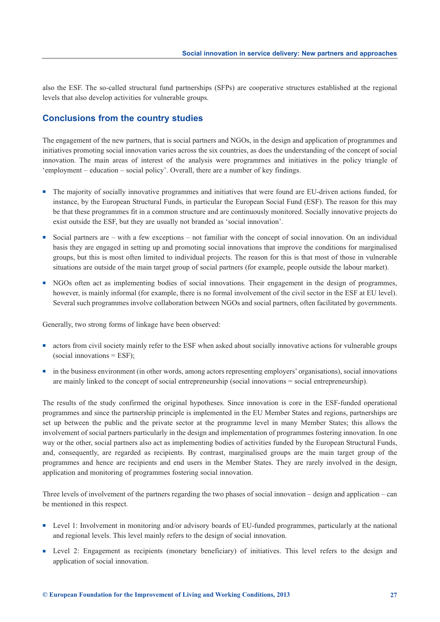also the ESF. The so-called structural fund partnerships (SFPs) are cooperative structures established at the regional levels that also develop activities for vulnerable groups.

# **Conclusions from the country studies**

The engagement of the new partners, that is social partners and NGOs, in the design and application of programmes and initiatives promoting social innovation varies across the six countries, as does the understanding of the concept of social innovation. The main areas of interest of the analysis were programmes and initiatives in the policy triangle of 'employment – education – social policy'. Overall, there are a number of key findings.

- <sup>n</sup> The majority of socially innovative programmes and initiatives that were found are EU-driven actions funded, for instance, by the European Structural Funds, in particular the European Social Fund (ESF). The reason for this may be that these programmes fit in a common structure and are continuously monitored. Socially innovative projects do exist outside the ESF, but they are usually not branded as 'social innovation'.
- <sup>n</sup> Social partners are with a few exceptions not familiar with the concept of social innovation. On an individual basis they are engaged in setting up and promoting social innovations that improve the conditions for marginalised groups, but this is most often limited to individual projects. The reason for this is that most of those in vulnerable situations are outside of the main target group of social partners (for example, people outside the labour market).
- <sup>n</sup> NGOs often act as implementing bodies of social innovations. Their engagement in the design of programmes, however, is mainly informal (for example, there is no formal involvement of the civil sector in the ESF at EU level). Several such programmes involve collaboration between NGOs and social partners, often facilitated by governments.

Generally, two strong forms of linkage have been observed:

- n actors from civil society mainly refer to the ESF when asked about socially innovative actions for vulnerable groups  $(social innovations = ESF);$
- n in the business environment (in other words, among actors representing employers' organisations), social innovations are mainly linked to the concept of social entrepreneurship (social innovations = social entrepreneurship).

The results of the study confirmed the original hypotheses. Since innovation is core in the ESF-funded operational programmes and since the partnership principle is implemented in the EU Member States and regions, partnerships are set up between the public and the private sector at the programme level in many Member States; this allows the involvement of social partners particularly in the design and implementation of programmes fostering innovation. In one way or the other, social partners also act as implementing bodies of activities funded by the European Structural Funds, and, consequently, are regarded as recipients. By contrast, marginalised groups are the main target group of the programmes and hence are recipients and end users in the Member States. They are rarely involved in the design, application and monitoring of programmes fostering social innovation.

Three levels of involvement of the partners regarding the two phases of social innovation – design and application – can be mentioned in this respect.

- <sup>n</sup> Level 1: Involvement in monitoring and/or advisory boards of EU-funded programmes, particularly at the national and regional levels. This level mainly refers to the design of social innovation.
- <sup>n</sup> Level 2: Engagement as recipients (monetary beneficiary) of initiatives. This level refers to the design and application of social innovation.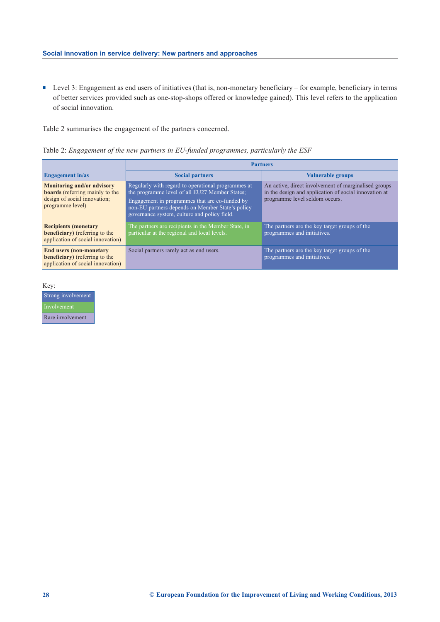■ Level 3: Engagement as end users of initiatives (that is, non-monetary beneficiary – for example, beneficiary in terms of better services provided such as one-stop-shops offered or knowledge gained). This level refers to the application of social innovation.

Table 2 summarises the engagement of the partners concerned.

| Table 2: Engagement of the new partners in EU-funded programmes, particularly the ESF |  |  |  |  |  |  |  |  |  |
|---------------------------------------------------------------------------------------|--|--|--|--|--|--|--|--|--|
|---------------------------------------------------------------------------------------|--|--|--|--|--|--|--|--|--|

|                                                                                                                                 | <b>Partners</b>                                                                                                                                                                                                                                            |                                                                                                                                                 |  |  |  |  |
|---------------------------------------------------------------------------------------------------------------------------------|------------------------------------------------------------------------------------------------------------------------------------------------------------------------------------------------------------------------------------------------------------|-------------------------------------------------------------------------------------------------------------------------------------------------|--|--|--|--|
| <b>Engagement</b> in/as                                                                                                         | <b>Social partners</b>                                                                                                                                                                                                                                     | <b>Vulnerable groups</b>                                                                                                                        |  |  |  |  |
| <b>Monitoring and/or advisory</b><br><b>boards</b> (referring mainly to the<br>design of social innovation;<br>programme level) | Regularly with regard to operational programmes at<br>the programme level of all EU27 Member States;<br>Engagement in programmes that are co-funded by<br>non-EU partners depends on Member State's policy<br>governance system, culture and policy field. | An active, direct involvement of marginalised groups<br>in the design and application of social innovation at<br>programme level seldom occurs. |  |  |  |  |
| <b>Recipients (monetary</b><br><b>beneficiary</b> ) (referring to the<br>application of social innovation)                      | The partners are recipients in the Member State, in<br>particular at the regional and local levels.                                                                                                                                                        | The partners are the key target groups of the<br>programmes and initiatives.                                                                    |  |  |  |  |
| <b>End users (non-monetary</b><br><b>beneficiary</b> ) (referring to the<br>application of social innovation)                   | Social partners rarely act as end users.                                                                                                                                                                                                                   | The partners are the key target groups of the<br>programmes and initiatives.                                                                    |  |  |  |  |

Key:

| Strong involvement |
|--------------------|
| Involvement        |
| Rare involvement   |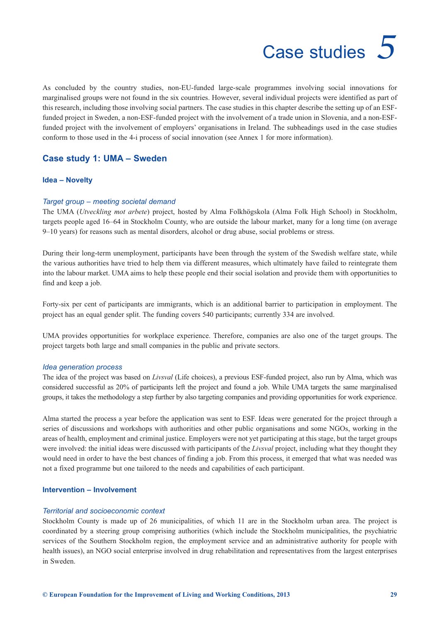# Case studies *5*

<span id="page-32-0"></span>As concluded by the country studies, non-EU-funded large-scale programmes involving social innovations for marginalised groups were not found in the six countries. However, several individual projects were identified as part of this research, including those involving social partners. The case studies in this chapter describe the setting up of an ESFfunded project in Sweden, a non-ESF-funded project with the involvement of a trade union in Slovenia, and a non-ESFfunded project with the involvement of employers' organisations in Ireland. The subheadings used in the case studies conform to those used in the 4-i process of social innovation (see Annex 1 for more information).

# **Case study 1: UMA – Sweden**

#### **Idea – Novelty**

#### *Target group – meeting societal demand*

The UMA (*Utveckling mot arbete*) project, hosted by Alma Folkhögskola (Alma Folk High School) in Stockholm, targets people aged 16–64 in Stockholm County, who are outside the labour market, many for a long time (on average 9–10 years) for reasons such as mental disorders, alcohol or drug abuse, social problems or stress.

During their long-term unemployment, participants have been through the system of the Swedish welfare state, while the various authorities have tried to help them via different measures, which ultimately have failed to reintegrate them into the labour market. UMA aims to help these people end their social isolation and provide them with opportunities to find and keep a job.

Forty-six per cent of participants are immigrants, which is an additional barrier to participation in employment. The project has an equal gender split. The funding covers 540 participants; currently 334 are involved.

UMA provides opportunities for workplace experience. Therefore, companies are also one of the target groups. The project targets both large and small companies in the public and private sectors.

#### *Idea generation process*

The idea of the project was based on *Livsval* (Life choices), a previous ESF-funded project, also run by Alma, which was considered successful as 20% of participants left the project and found a job. While UMA targets the same marginalised groups, it takes the methodology a step further by also targeting companies and providing opportunities for work experience.

Alma started the process a year before the application was sent to ESF. Ideas were generated for the project through a series of discussions and workshops with authorities and other public organisations and some NGOs, working in the areas of health, employment and criminal justice. Employers were not yet participating at this stage, but the target groups were involved: the initial ideas were discussed with participants of the *Livsval* project, including what they thought they would need in order to have the best chances of finding a job. From this process, it emerged that what was needed was not a fixed programme but one tailored to the needs and capabilities of each participant.

## **Intervention – Involvement**

#### *Territorial and socioeconomic context*

Stockholm County is made up of 26 municipalities, of which 11 are in the Stockholm urban area. The project is coordinated by a steering group comprising authorities (which include the Stockholm municipalities, the psychiatric services of the Southern Stockholm region, the employment service and an administrative authority for people with health issues), an NGO social enterprise involved in drug rehabilitation and representatives from the largest enterprises in Sweden.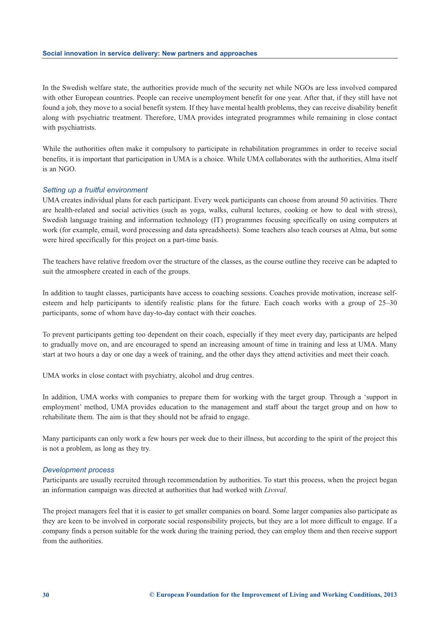In the Swedish welfare state, the authorities provide much of the security net while NGOs are less involved compared with other European countries. People can receive unemployment benefit for one year. After that, if they still have not found a job, they move to a social benefit system. If they have mental health problems, they can receive disability benefit along with psychiatric treatment. Therefore, UMA provides integrated programmes while remaining in close contact with psychiatrists.

While the authorities often make it compulsory to participate in rehabilitation programmes in order to receive social benefits, it is important that participation in UMA is a choice. While UMA collaborates with the authorities, Alma itself is an NGO.

#### *Setting up a fruitful environment*

UMA creates individual plans for each participant. Every week participants can choose from around 50 activities. There are health-related and social activities (such as yoga, walks, cultural lectures, cooking or how to deal with stress), Swedish language training and information technology (IT) programmes focusing specifically on using computers at work (for example, email, word processing and data spreadsheets). Some teachers also teach courses at Alma, but some were hired specifically for this project on a part-time basis.

The teachers have relative freedom over the structure of the classes, as the course outline they receive can be adapted to suit the atmosphere created in each of the groups.

In addition to taught classes, participants have access to coaching sessions. Coaches provide motivation, increase selfesteem and help participants to identify realistic plans for the future. Each coach works with a group of 25–30 participants, some of whom have day-to-day contact with their coaches.

To prevent participants getting too dependent on their coach, especially if they meet every day, participants are helped to gradually move on, and are encouraged to spend an increasing amount of time in training and less at UMA. Many start at two hours a day or one day a week of training, and the other days they attend activities and meet their coach.

UMA works in close contact with psychiatry, alcohol and drug centres.

In addition, UMA works with companies to prepare them for working with the target group. Through a 'support in employment' method, UMA provides education to the management and staff about the target group and on how to rehabilitate them. The aim is that they should not be afraid to engage.

Many participants can only work a few hours per week due to their illness, but according to the spirit of the project this is not a problem, as long as they try.

#### *Development process*

Participants are usually recruited through recommendation by authorities. To start this process, when the project began an information campaign was directed at authorities that had worked with *Livsval*.

The project managers feel that it is easier to get smaller companies on board. Some larger companies also participate as they are keen to be involved in corporate social responsibility projects, but they are a lot more difficult to engage. If a company finds a person suitable for the work during the training period, they can employ them and then receive support from the authorities.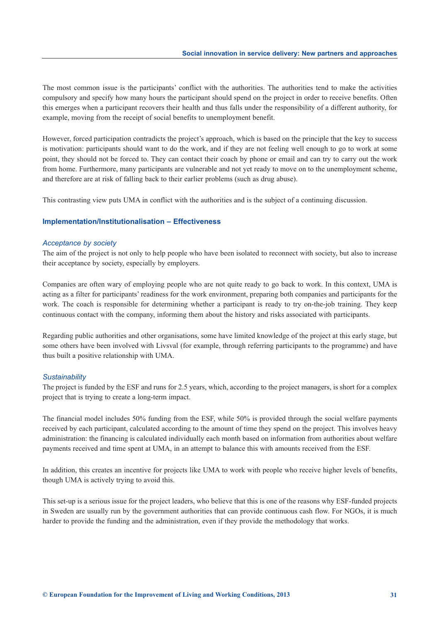The most common issue is the participants' conflict with the authorities. The authorities tend to make the activities compulsory and specify how many hours the participant should spend on the project in order to receive benefits. Often this emerges when a participant recovers their health and thus falls under the responsibility of a different authority, for example, moving from the receipt of social benefits to unemployment benefit.

However, forced participation contradicts the project's approach, which is based on the principle that the key to success is motivation: participants should want to do the work, and if they are not feeling well enough to go to work at some point, they should not be forced to. They can contact their coach by phone or email and can try to carry out the work from home. Furthermore, many participants are vulnerable and not yet ready to move on to the unemployment scheme, and therefore are at risk of falling back to their earlier problems (such as drug abuse).

This contrasting view puts UMA in conflict with the authorities and is the subject of a continuing discussion.

#### **Implementation/Institutionalisation – Effectiveness**

#### *Acceptance by society*

The aim of the project is not only to help people who have been isolated to reconnect with society, but also to increase their acceptance by society, especially by employers.

Companies are often wary of employing people who are not quite ready to go back to work. In this context, UMA is acting as a filter for participants' readiness for the work environment, preparing both companies and participants for the work. The coach is responsible for determining whether a participant is ready to try on-the-job training. They keep continuous contact with the company, informing them about the history and risks associated with participants.

Regarding public authorities and other organisations, some have limited knowledge of the project at this early stage, but some others have been involved with Livsval (for example, through referring participants to the programme) and have thus built a positive relationship with UMA.

#### *Sustainability*

The project is funded by the ESF and runs for 2.5 years, which, according to the project managers, is short for a complex project that is trying to create a long-term impact.

The financial model includes 50% funding from the ESF, while 50% is provided through the social welfare payments received by each participant, calculated according to the amount of time they spend on the project. This involves heavy administration: the financing is calculated individually each month based on information from authorities about welfare payments received and time spent at UMA, in an attempt to balance this with amounts received from the ESF.

In addition, this creates an incentive for projects like UMA to work with people who receive higher levels of benefits, though UMA is actively trying to avoid this.

This set-up is a serious issue for the project leaders, who believe that this is one of the reasons why ESF-funded projects in Sweden are usually run by the government authorities that can provide continuous cash flow. For NGOs, it is much harder to provide the funding and the administration, even if they provide the methodology that works.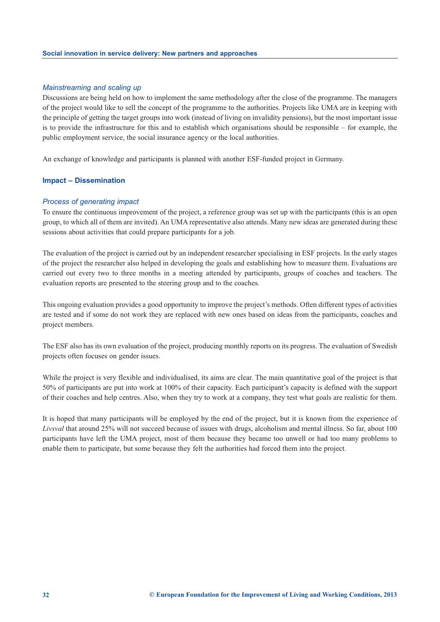#### *Mainstreaming and scaling up*

Discussions are being held on how to implement the same methodology after the close of the programme. The managers of the project would like to sell the concept of the programme to the authorities. Projects like UMA are in keeping with the principle of getting the target groups into work (instead of living on invalidity pensions), but the most important issue is to provide the infrastructure for this and to establish which organisations should be responsible – for example, the public employment service, the social insurance agency or the local authorities.

An exchange of knowledge and participants is planned with another ESF-funded project in Germany.

#### **Impact – Dissemination**

#### *Process of generating impact*

To ensure the continuous improvement of the project, a reference group was set up with the participants (this is an open group, to which all of them are invited). An UMA representative also attends. Many new ideas are generated during these sessions about activities that could prepare participants for a job.

The evaluation of the project is carried out by an independent researcher specialising in ESF projects. In the early stages of the project the researcher also helped in developing the goals and establishing how to measure them. Evaluations are carried out every two to three months in a meeting attended by participants, groups of coaches and teachers. The evaluation reports are presented to the steering group and to the coaches.

This ongoing evaluation provides a good opportunity to improve the project's methods. Often different types of activities are tested and if some do not work they are replaced with new ones based on ideas from the participants, coaches and project members.

The ESF also has its own evaluation of the project, producing monthly reports on its progress. The evaluation of Swedish projects often focuses on gender issues.

While the project is very flexible and individualised, its aims are clear. The main quantitative goal of the project is that 50% of participants are put into work at 100% of their capacity. Each participant's capacity is defined with the support of their coaches and help centres. Also, when they try to work at a company, they test what goals are realistic for them.

It is hoped that many participants will be employed by the end of the project, but it is known from the experience of *Livsval* that around 25% will not succeed because of issues with drugs, alcoholism and mental illness. So far, about 100 participants have left the UMA project, most of them because they became too unwell or had too many problems to enable them to participate, but some because they felt the authorities had forced them into the project.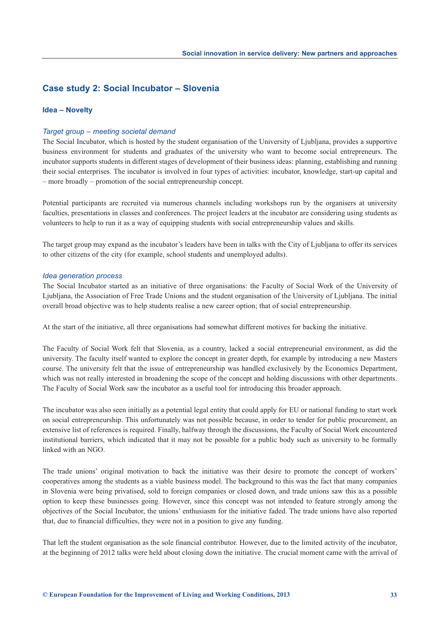## **Case study 2: Social Incubator – Slovenia**

#### **Idea – Novelty**

#### *Target group – meeting societal demand*

The Social Incubator, which is hosted by the student organisation of the University of Ljubljana, provides a supportive business environment for students and graduates of the university who want to become social entrepreneurs. The incubator supports students in different stages of development of their business ideas: planning, establishing and running their social enterprises. The incubator is involved in four types of activities: incubator, knowledge, start-up capital and – more broadly – promotion of the social entrepreneurship concept.

Potential participants are recruited via numerous channels including workshops run by the organisers at university faculties, presentations in classes and conferences. The project leaders at the incubator are considering using students as volunteers to help to run it as a way of equipping students with social entrepreneurship values and skills.

The target group may expand as the incubator's leaders have been in talks with the City of Ljubljana to offer its services to other citizens of the city (for example, school students and unemployed adults).

#### *Idea generation process*

The Social Incubator started as an initiative of three organisations: the Faculty of Social Work of the University of Ljubljana, the Association of Free Trade Unions and the student organisation of the University of Ljubljana. The initial overall broad objective was to help students realise a new career option; that of social entrepreneurship.

At the start of the initiative, all three organisations had somewhat different motives for backing the initiative.

The Faculty of Social Work felt that Slovenia, as a country, lacked a social entrepreneurial environment, as did the university. The faculty itself wanted to explore the concept in greater depth, for example by introducing a new Masters course. The university felt that the issue of entrepreneurship was handled exclusively by the Economics Department, which was not really interested in broadening the scope of the concept and holding discussions with other departments. The Faculty of Social Work saw the incubator as a useful tool for introducing this broader approach.

The incubator was also seen initially as a potential legal entity that could apply for EU or national funding to start work on social entrepreneurship. This unfortunately was not possible because, in order to tender for public procurement, an extensive list of references is required. Finally, halfway through the discussions, the Faculty of Social Work encountered institutional barriers, which indicated that it may not be possible for a public body such as university to be formally linked with an NGO.

The trade unions' original motivation to back the initiative was their desire to promote the concept of workers' cooperatives among the students as a viable business model. The background to this was the fact that many companies in Slovenia were being privatised, sold to foreign companies or closed down, and trade unions saw this as a possible option to keep these businesses going. However, since this concept was not intended to feature strongly among the objectives of the Social Incubator, the unions' enthusiasm for the initiative faded. The trade unions have also reported that, due to financial difficulties, they were not in a position to give any funding.

That left the student organisation as the sole financial contributor. However, due to the limited activity of the incubator, at the beginning of 2012 talks were held about closing down the initiative. The crucial moment came with the arrival of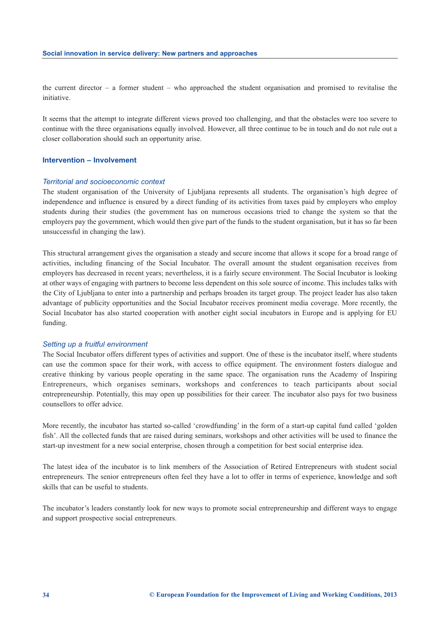the current director – a former student – who approached the student organisation and promised to revitalise the initiative.

It seems that the attempt to integrate different views proved too challenging, and that the obstacles were too severe to continue with the three organisations equally involved. However, all three continue to be in touch and do not rule out a closer collaboration should such an opportunity arise.

#### **Intervention – Involvement**

#### *Territorial and socioeconomic context*

The student organisation of the University of Ljubljana represents all students. The organisation's high degree of independence and influence is ensured by a direct funding of its activities from taxes paid by employers who employ students during their studies (the government has on numerous occasions tried to change the system so that the employers pay the government, which would then give part of the funds to the student organisation, but it has so far been unsuccessful in changing the law).

This structural arrangement gives the organisation a steady and secure income that allows it scope for a broad range of activities, including financing of the Social Incubator. The overall amount the student organisation receives from employers has decreased in recent years; nevertheless, it is a fairly secure environment. The Social Incubator is looking at other ways of engaging with partners to become less dependent on this sole source of income. This includes talks with the City of Ljubljana to enter into a partnership and perhaps broaden its target group. The project leader has also taken advantage of publicity opportunities and the Social Incubator receives prominent media coverage. More recently, the Social Incubator has also started cooperation with another eight social incubators in Europe and is applying for EU funding.

#### *Setting up a fruitful environment*

The Social Incubator offers different types of activities and support. One of these is the incubator itself, where students can use the common space for their work, with access to office equipment. The environment fosters dialogue and creative thinking by various people operating in the same space. The organisation runs the Academy of Inspiring Entrepreneurs, which organises seminars, workshops and conferences to teach participants about social entrepreneurship. Potentially, this may open up possibilities for their career. The incubator also pays for two business counsellors to offer advice.

More recently, the incubator has started so-called 'crowdfunding' in the form of a start-up capital fund called 'golden fish'. All the collected funds that are raised during seminars, workshops and other activities will be used to finance the start-up investment for a new social enterprise, chosen through a competition for best social enterprise idea.

The latest idea of the incubator is to link members of the Association of Retired Entrepreneurs with student social entrepreneurs. The senior entrepreneurs often feel they have a lot to offer in terms of experience, knowledge and soft skills that can be useful to students.

The incubator's leaders constantly look for new ways to promote social entrepreneurship and different ways to engage and support prospective social entrepreneurs.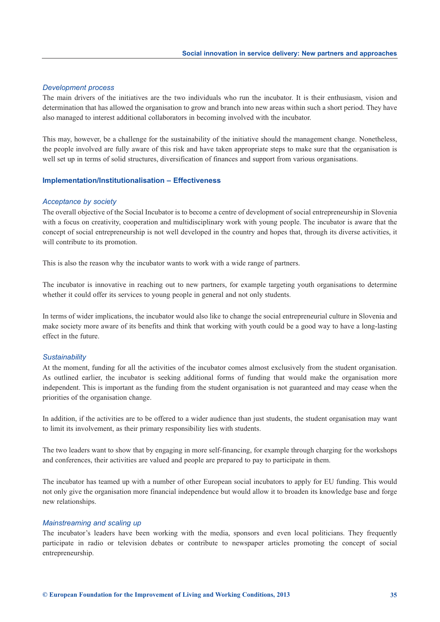#### *Development process*

The main drivers of the initiatives are the two individuals who run the incubator. It is their enthusiasm, vision and determination that has allowed the organisation to grow and branch into new areas within such a short period. They have also managed to interest additional collaborators in becoming involved with the incubator.

This may, however, be a challenge for the sustainability of the initiative should the management change. Nonetheless, the people involved are fully aware of this risk and have taken appropriate steps to make sure that the organisation is well set up in terms of solid structures, diversification of finances and support from various organisations.

#### **Implementation/Institutionalisation – Effectiveness**

#### *Acceptance by society*

The overall objective of the Social Incubator is to become a centre of development of social entrepreneurship in Slovenia with a focus on creativity, cooperation and multidisciplinary work with young people. The incubator is aware that the concept of social entrepreneurship is not well developed in the country and hopes that, through its diverse activities, it will contribute to its promotion.

This is also the reason why the incubator wants to work with a wide range of partners.

The incubator is innovative in reaching out to new partners, for example targeting youth organisations to determine whether it could offer its services to young people in general and not only students.

In terms of wider implications, the incubator would also like to change the social entrepreneurial culture in Slovenia and make society more aware of its benefits and think that working with youth could be a good way to have a long-lasting effect in the future.

#### *Sustainability*

At the moment, funding for all the activities of the incubator comes almost exclusively from the student organisation. As outlined earlier, the incubator is seeking additional forms of funding that would make the organisation more independent. This is important as the funding from the student organisation is not guaranteed and may cease when the priorities of the organisation change.

In addition, if the activities are to be offered to a wider audience than just students, the student organisation may want to limit its involvement, as their primary responsibility lies with students.

The two leaders want to show that by engaging in more self-financing, for example through charging for the workshops and conferences, their activities are valued and people are prepared to pay to participate in them.

The incubator has teamed up with a number of other European social incubators to apply for EU funding. This would not only give the organisation more financial independence but would allow it to broaden its knowledge base and forge new relationships.

#### *Mainstreaming and scaling up*

The incubator's leaders have been working with the media, sponsors and even local politicians. They frequently participate in radio or television debates or contribute to newspaper articles promoting the concept of social entrepreneurship.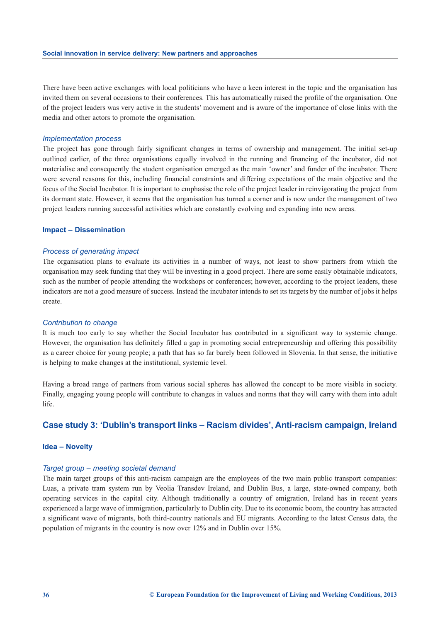There have been active exchanges with local politicians who have a keen interest in the topic and the organisation has invited them on several occasions to their conferences. This has automatically raised the profile of the organisation. One of the project leaders was very active in the students' movement and is aware of the importance of close links with the media and other actors to promote the organisation.

#### *Implementation process*

The project has gone through fairly significant changes in terms of ownership and management. The initial set-up outlined earlier, of the three organisations equally involved in the running and financing of the incubator, did not materialise and consequently the student organisation emerged as the main 'owner' and funder of the incubator. There were several reasons for this, including financial constraints and differing expectations of the main objective and the focus of the Social Incubator. It is important to emphasise the role of the project leader in reinvigorating the project from its dormant state. However, it seems that the organisation has turned a corner and is now under the management of two project leaders running successful activities which are constantly evolving and expanding into new areas.

#### **Impact – Dissemination**

#### *Process of generating impact*

The organisation plans to evaluate its activities in a number of ways, not least to show partners from which the organisation may seek funding that they will be investing in a good project. There are some easily obtainable indicators, such as the number of people attending the workshops or conferences; however, according to the project leaders, these indicators are not a good measure of success. Instead the incubator intends to set its targets by the number of jobs it helps create.

#### *Contribution to change*

It is much too early to say whether the Social Incubator has contributed in a significant way to systemic change. However, the organisation has definitely filled a gap in promoting social entrepreneurship and offering this possibility as a career choice for young people; a path that has so far barely been followed in Slovenia. In that sense, the initiative is helping to make changes at the institutional, systemic level.

Having a broad range of partners from various social spheres has allowed the concept to be more visible in society. Finally, engaging young people will contribute to changes in values and norms that they will carry with them into adult life.

# **Case study 3: 'Dublin's transport links – Racism divides', Anti-racism campaign, Ireland**

#### **Idea – Novelty**

#### *Target group – meeting societal demand*

The main target groups of this anti-racism campaign are the employees of the two main public transport companies: Luas, a private tram system run by Veolia Transdev Ireland, and Dublin Bus, a large, state-owned company, both operating services in the capital city. Although traditionally a country of emigration, Ireland has in recent years experienced a large wave of immigration, particularly to Dublin city. Due to its economic boom, the country has attracted a significant wave of migrants, both third-country nationals and EU migrants. According to the latest Census data, the population of migrants in the country is now over 12% and in Dublin over 15%.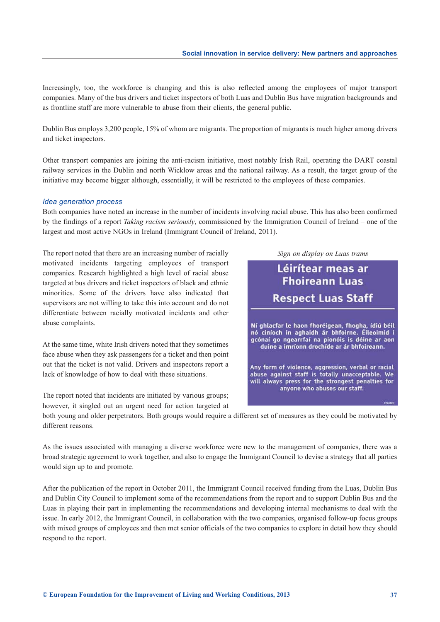Increasingly, too, the workforce is changing and this is also reflected among the employees of major transport companies. Many of the bus drivers and ticket inspectors of both Luas and Dublin Bus have migration backgrounds and as frontline staff are more vulnerable to abuse from their clients, the general public.

Dublin Bus employs 3,200 people, 15% of whom are migrants. The proportion of migrants is much higher among drivers and ticket inspectors.

Other transport companies are joining the anti-racism initiative, most notably Irish Rail, operating the DART coastal railway services in the Dublin and north Wicklow areas and the national railway. As a result, the target group of the initiative may become bigger although, essentially, it will be restricted to the employees of these companies.

#### *Idea generation process*

Both companies have noted an increase in the number of incidents involving racial abuse. This has also been confirmed by the findings of a report *Taking racism seriously*, commissioned by the Immigration Council of Ireland – one of the largest and most active NGOs in Ireland (Immigrant Council of Ireland, 2011).

The report noted that there are an increasing number of racially motivated incidents targeting employees of transport companies. Research highlighted a high level of racial abuse targeted at bus drivers and ticket inspectors of black and ethnic minorities. Some of the drivers have also indicated that supervisors are not willing to take this into account and do not differentiate between racially motivated incidents and other abuse complaints.

At the same time, white Irish drivers noted that they sometimes face abuse when they ask passengers for a ticket and then point out that the ticket is not valid. Drivers and inspectors report a lack of knowledge of how to deal with these situations.

The report noted that incidents are initiated by various groups; however, it singled out an urgent need for action targeted at

*Sign on display on Luas trams*Léirítear meas ar **Fhoireann Luas Respect Luas Staff** Ní ghlacfar le haon fhoréigean, fhogha, ídiú béil nó ciníoch in aghaidh ár bhfoirne. Éileoimid i gcónaí go ngearrfaí na pionóis is déine ar aon duine a imríonn drochíde ar ár bhfoireann. Any form of violence, aggression, verbal or racial abuse against staff is totally unacceptable. We will always press for the strongest penalties for anyone who abuses our staff.

both young and older perpetrators. Both groups would require a different set of measures as they could be motivated by different reasons.

As the issues associated with managing a diverse workforce were new to the management of companies, there was a broad strategic agreement to work together, and also to engage the Immigrant Council to devise a strategy that all parties would sign up to and promote.

After the publication of the report in October 2011, the Immigrant Council received funding from the Luas, Dublin Bus and Dublin City Council to implement some of the recommendations from the report and to support Dublin Bus and the Luas in playing their part in implementing the recommendations and developing internal mechanisms to deal with the issue. In early 2012, the Immigrant Council, in collaboration with the two companies, organised follow-up focus groups with mixed groups of employees and then met senior officials of the two companies to explore in detail how they should respond to the report.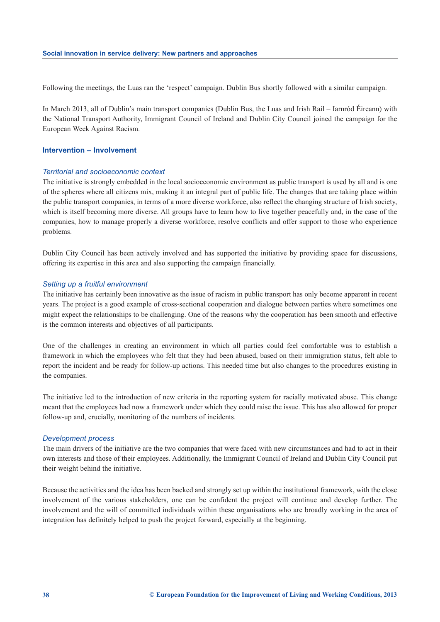Following the meetings, the Luas ran the 'respect' campaign. Dublin Bus shortly followed with a similar campaign.

In March 2013, all of Dublin's main transport companies (Dublin Bus, the Luas and Irish Rail – Iarnród Éireann) with the National Transport Authority, Immigrant Council of Ireland and Dublin City Council joined the campaign for the European Week Against Racism.

### **Intervention – Involvement**

#### *Territorial and socioeconomic context*

The initiative is strongly embedded in the local socioeconomic environment as public transport is used by all and is one of the spheres where all citizens mix, making it an integral part of public life. The changes that are taking place within the public transport companies, in terms of a more diverse workforce, also reflect the changing structure of Irish society, which is itself becoming more diverse. All groups have to learn how to live together peacefully and, in the case of the companies, how to manage properly a diverse workforce, resolve conflicts and offer support to those who experience problems.

Dublin City Council has been actively involved and has supported the initiative by providing space for discussions, offering its expertise in this area and also supporting the campaign financially.

#### *Setting up a fruitful environment*

The initiative has certainly been innovative as the issue of racism in public transport has only become apparent in recent years. The project is a good example of cross-sectional cooperation and dialogue between parties where sometimes one might expect the relationships to be challenging. One of the reasons why the cooperation has been smooth and effective is the common interests and objectives of all participants.

One of the challenges in creating an environment in which all parties could feel comfortable was to establish a framework in which the employees who felt that they had been abused, based on their immigration status, felt able to report the incident and be ready for follow-up actions. This needed time but also changes to the procedures existing in the companies.

The initiative led to the introduction of new criteria in the reporting system for racially motivated abuse. This change meant that the employees had now a framework under which they could raise the issue. This has also allowed for proper follow-up and, crucially, monitoring of the numbers of incidents.

#### *Development process*

The main drivers of the initiative are the two companies that were faced with new circumstances and had to act in their own interests and those of their employees. Additionally, the Immigrant Council of Ireland and Dublin City Council put their weight behind the initiative.

Because the activities and the idea has been backed and strongly set up within the institutional framework, with the close involvement of the various stakeholders, one can be confident the project will continue and develop further. The involvement and the will of committed individuals within these organisations who are broadly working in the area of integration has definitely helped to push the project forward, especially at the beginning.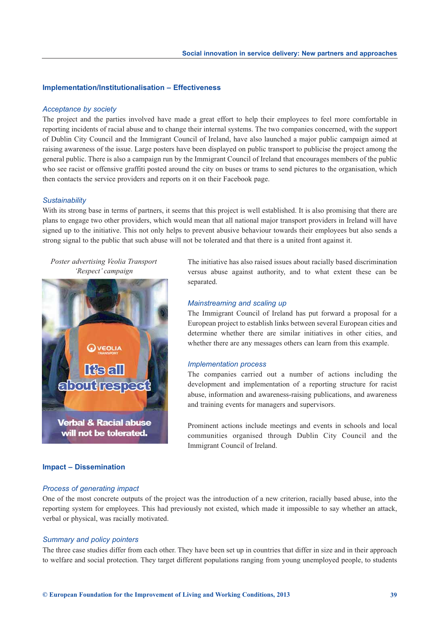#### **Implementation/Institutionalisation – Effectiveness**

#### *Acceptance by society*

The project and the parties involved have made a great effort to help their employees to feel more comfortable in reporting incidents of racial abuse and to change their internal systems. The two companies concerned, with the support of Dublin City Council and the Immigrant Council of Ireland, have also launched a major public campaign aimed at raising awareness of the issue. Large posters have been displayed on public transport to publicise the project among the general public. There is also a campaign run by the Immigrant Council of Ireland that encourages members of the public who see racist or offensive graffiti posted around the city on buses or trams to send pictures to the organisation, which then contacts the service providers and reports on it on their Facebook page.

#### *Sustainability*

With its strong base in terms of partners, it seems that this project is well established. It is also promising that there are plans to engage two other providers, which would mean that all national major transport providers in Ireland will have signed up to the initiative. This not only helps to prevent abusive behaviour towards their employees but also sends a strong signal to the public that such abuse will not be tolerated and that there is a united front against it.

*Poster advertising Veolia Transport 'Respect' campaign*



# The initiative has also raised issues about racially based discrimination versus abuse against authority, and to what extent these can be separated.

#### *Mainstreaming and scaling up*

The Immigrant Council of Ireland has put forward a proposal for a European project to establish links between several European cities and determine whether there are similar initiatives in other cities, and whether there are any messages others can learn from this example.

#### *Implementation process*

The companies carried out a number of actions including the development and implementation of a reporting structure for racist abuse, information and awareness-raising publications, and awareness and training events for managers and supervisors.

Prominent actions include meetings and events in schools and local communities organised through Dublin City Council and the Immigrant Council of Ireland.

# **Impact – Dissemination**

#### *Process of generating impact*

One of the most concrete outputs of the project was the introduction of a new criterion, racially based abuse, into the reporting system for employees. This had previously not existed, which made it impossible to say whether an attack, verbal or physical, was racially motivated.

#### *Summary and policy pointers*

The three case studies differ from each other. They have been set up in countries that differ in size and in their approach to welfare and social protection. They target different populations ranging from young unemployed people, to students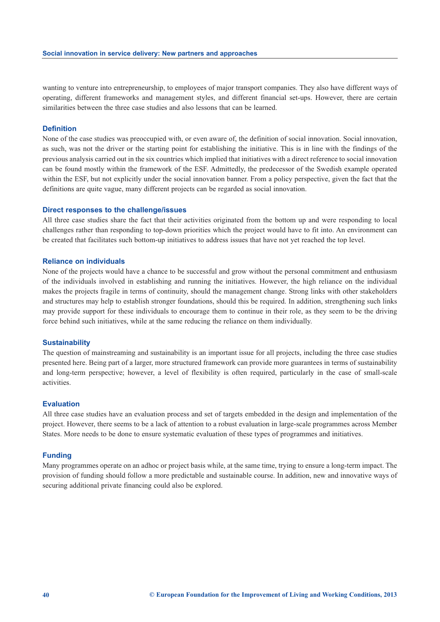wanting to venture into entrepreneurship, to employees of major transport companies. They also have different ways of operating, different frameworks and management styles, and different financial set-ups. However, there are certain similarities between the three case studies and also lessons that can be learned.

#### **Definition**

None of the case studies was preoccupied with, or even aware of, the definition of social innovation. Social innovation, as such, was not the driver or the starting point for establishing the initiative. This is in line with the findings of the previous analysis carried out in the six countries which implied that initiatives with a direct reference to social innovation can be found mostly within the framework of the ESF. Admittedly, the predecessor of the Swedish example operated within the ESF, but not explicitly under the social innovation banner. From a policy perspective, given the fact that the definitions are quite vague, many different projects can be regarded as social innovation.

#### **Direct responses to the challenge/issues**

All three case studies share the fact that their activities originated from the bottom up and were responding to local challenges rather than responding to top-down priorities which the project would have to fit into. An environment can be created that facilitates such bottom-up initiatives to address issues that have not yet reached the top level.

#### **Reliance on individuals**

None of the projects would have a chance to be successful and grow without the personal commitment and enthusiasm of the individuals involved in establishing and running the initiatives. However, the high reliance on the individual makes the projects fragile in terms of continuity, should the management change. Strong links with other stakeholders and structures may help to establish stronger foundations, should this be required. In addition, strengthening such links may provide support for these individuals to encourage them to continue in their role, as they seem to be the driving force behind such initiatives, while at the same reducing the reliance on them individually.

#### **Sustainability**

The question of mainstreaming and sustainability is an important issue for all projects, including the three case studies presented here. Being part of a larger, more structured framework can provide more guarantees in terms of sustainability and long-term perspective; however, a level of flexibility is often required, particularly in the case of small-scale activities.

#### **Evaluation**

All three case studies have an evaluation process and set of targets embedded in the design and implementation of the project. However, there seems to be a lack of attention to a robust evaluation in large-scale programmes across Member States. More needs to be done to ensure systematic evaluation of these types of programmes and initiatives.

#### **Funding**

Many programmes operate on an adhoc or project basis while, at the same time, trying to ensure a long-term impact. The provision of funding should follow a more predictable and sustainable course. In addition, new and innovative ways of securing additional private financing could also be explored.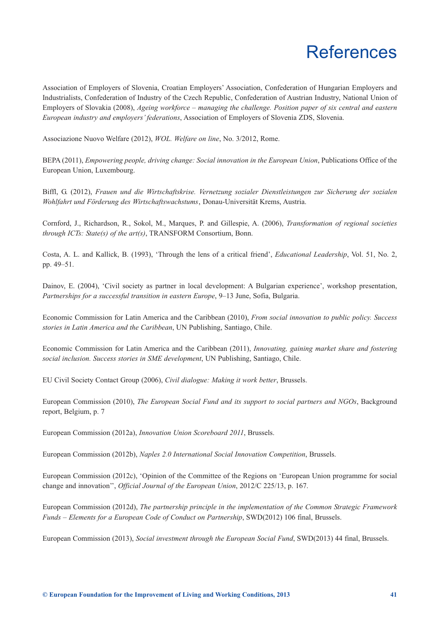# References

<span id="page-44-0"></span>Association of Employers of Slovenia, Croatian Employers' Association, Confederation of Hungarian Employers and Industrialists, Confederation of Industry of the Czech Republic, Confederation of Austrian Industry, National Union of Employers of Slovakia (2008), *Ageing workforce – managing the challenge. Position paper of six central and eastern European industry and employers' federations*, Association of Employers of Slovenia ZDS, Slovenia.

Associazione Nuovo Welfare (2012), *WOL. Welfare on line*, No. 3/2012, Rome.

BEPA (2011), *Empowering people, driving change: Social innovation in the European Union*, Publications Office of the European Union, Luxembourg.

Biffl, G. (2012), *Frauen und die Wirtschaftskrise. Vernetzung sozialer Dienstleistungen zur Sicherung der sozialen Wohlfahrt und Förderung des Wirtschaftswachstums*' Donau-Universität Krems, Austria.

Cornford, J., Richardson, R., Sokol, M., Marques, P. and Gillespie, A. (2006), *Transformation of regional societies through ICTs: State(s) of the art(s)*, TRANSFORM Consortium, Bonn.

Costa, A. L. and Kallick, B. (1993), 'Through the lens of a critical friend', *Educational Leadership*, Vol. 51, No. 2, pp. 49–51.

Dainov, E. (2004), 'Civil society as partner in local development: A Bulgarian experience', workshop presentation, *Partnerships for a successful transition in eastern Europe*, 9–13 June, Sofia, Bulgaria.

Economic Commission for Latin America and the Caribbean (2010), *From social innovation to public policy. Success stories in Latin America and the Caribbean*, UN Publishing, Santiago, Chile.

Economic Commission for Latin America and the Caribbean (2011), *Innovating, gaining market share and fostering social inclusion. Success stories in SME development*, UN Publishing, Santiago, Chile.

EU Civil Society Contact Group (2006), *Civil dialogue: Making it work better*, Brussels.

European Commission (2010), *The European Social Fund and its support to social partners and NGOs*, Background report, Belgium, p. 7

European Commission (2012a), *Innovation Union Scoreboard 2011*, Brussels.

European Commission (2012b), *Naples 2.0 International Social Innovation Competition*, Brussels.

European Commission (2012c), 'Opinion of the Committee of the Regions on 'European Union programme for social change and innovation'', *Official Journal of the European Union*, 2012/C 225/13, p. 167.

European Commission (2012d), *The partnership principle in the implementation of the Common Strategic Framework Funds – Elements for a European Code of Conduct on Partnership*, SWD(2012) 106 final, Brussels.

European Commission (2013), *Social investment through the European Social Fund*, SWD(2013) 44 final, Brussels.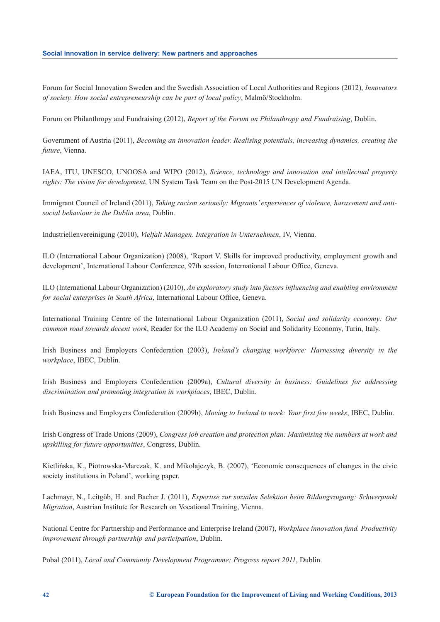#### **Social innovation in service delivery: New partners and approaches**

Forum for Social Innovation Sweden and the Swedish Association of Local Authorities and Regions (2012), *Innovators of society. How social entrepreneurship can be part of local policy*, Malmö/Stockholm.

Forum on Philanthropy and Fundraising (2012), *Report of the Forum on Philanthropy and Fundraising*, Dublin.

Government of Austria (2011), *Becoming an innovation leader. Realising potentials, increasing dynamics, creating the future*, Vienna.

IAEA, ITU, UNESCO, UNOOSA and WIPO (2012), *Science, technology and innovation and intellectual property rights: The vision for development*, UN System Task Team on the Post-2015 UN Development Agenda.

Immigrant Council of Ireland (2011), *Taking racism seriously: Migrants' experiences of violence, harassment and antisocial behaviour in the Dublin area*, Dublin.

Industriellenvereinigung (2010), *Vielfalt Managen. Integration in Unternehmen*, IV, Vienna.

ILO (International Labour Organization) (2008), 'Report V. Skills for improved productivity, employment growth and development', International Labour Conference, 97th session, International Labour Office, Geneva.

ILO (International Labour Organization) (2010), *An exploratory study into factors influencing and enabling environment for social enterprises in South Africa*, International Labour Office, Geneva.

International Training Centre of the International Labour Organization (2011), *Social and solidarity economy: Our common road towards decent work*, Reader for the ILO Academy on Social and Solidarity Economy, Turin, Italy.

Irish Business and Employers Confederation (2003), *Ireland's changing workforce: Harnessing diversity in the workplace*, IBEC, Dublin.

Irish Business and Employers Confederation (2009a), *Cultural diversity in business: Guidelines for addressing discrimination and promoting integration in workplaces*, IBEC, Dublin.

Irish Business and Employers Confederation (2009b), *Moving to Ireland to work: Your first few weeks*, IBEC, Dublin.

Irish Congress of Trade Unions (2009), *Congress job creation and protection plan: Maximising the numbers at work and upskilling for future opportunities*, Congress, Dublin.

Kietlińska, K., Piotrowska-Marczak, K. and Mikołajczyk, B. (2007), 'Economic consequences of changes in the civic society institutions in Poland', working paper.

Lachmayr, N., Leitgöb, H. and Bacher J. (2011), *Expertise zur sozialen Selektion beim Bildungszugang: Schwerpunkt Migration*, Austrian Institute for Research on Vocational Training, Vienna.

National Centre for Partnership and Performance and Enterprise Ireland (2007), *Workplace innovation fund. Productivity improvement through partnership and participation*, Dublin.

Pobal (2011), *Local and Community Development Programme: Progress report 2011*, Dublin.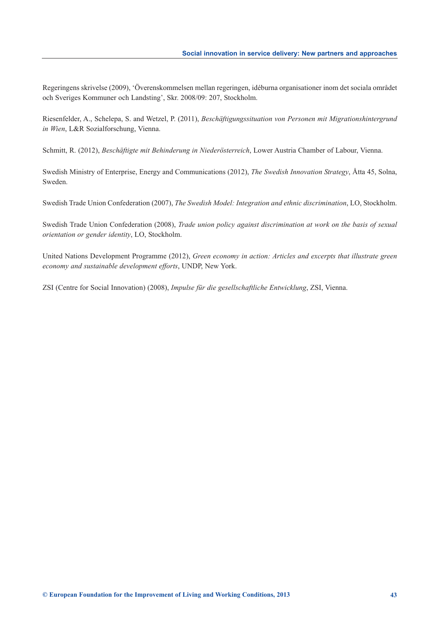Regeringens skrivelse (2009), 'Överenskommelsen mellan regeringen, idéburna organisationer inom det sociala området och Sveriges Kommuner och Landsting', Skr. 2008/09: 207, Stockholm.

Riesenfelder, A., Schelepa, S. and Wetzel, P. (2011), *Beschäftigungssituation von Personen mit Migrationshintergrund in Wien*, L&R Sozialforschung, Vienna.

Schmitt, R. (2012), *Beschäftigte mit Behinderung in Niederösterreich*, Lower Austria Chamber of Labour, Vienna.

Swedish Ministry of Enterprise, Energy and Communications (2012), *The Swedish Innovation Strategy*, Åtta 45, Solna, Sweden.

Swedish Trade Union Confederation (2007), *The Swedish Model: Integration and ethnic discrimination*, LO, Stockholm.

Swedish Trade Union Confederation (2008), *Trade union policy against discrimination at work on the basis of sexual orientation or gender identity*, LO, Stockholm.

United Nations Development Programme (2012), *Green economy in action: Articles and excerpts that illustrate green economy and sustainable development efforts*, UNDP, New York.

ZSI (Centre for Social Innovation) (2008), *Impulse für die gesellschaftliche Entwicklung*, ZSI, Vienna.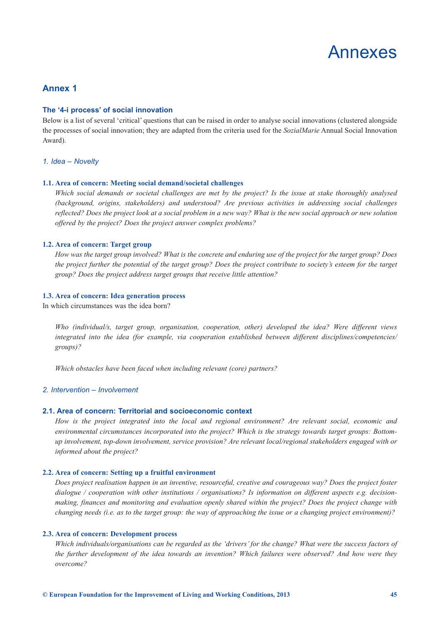

# <span id="page-48-0"></span>**Annex 1**

#### **The '4-i process' of social innovation**

Below is a list of several 'critical' questions that can be raised in order to analyse social innovations (clustered alongside the processes of social innovation; they are adapted from the criteria used for the *SozialMarie* Annual Social Innovation Award).

#### *1. Idea – Novelty*

#### **1.1. Area of concern: Meeting social demand/societal challenges**

*Which social demands or societal challenges are met by the project? Is the issue at stake thoroughly analysed (background, origins, stakeholders) and understood? Are previous activities in addressing social challenges reflected? Does the project look at a social problem in a new way? What is the new social approach or new solution offered by the project? Does the project answer complex problems?* 

#### **1.2. Area of concern: Target group**

*How was the target group involved? What is the concrete and enduring use of the project for the target group? Does the project further the potential of the target group? Does the project contribute to society's esteem for the target group? Does the project address target groups that receive little attention?*

#### **1.3. Area of concern: Idea generation process**

In which circumstances was the idea born?

*Who (individual/s, target group, organisation, cooperation, other) developed the idea? Were different views integrated into the idea (for example, via cooperation established between different disciplines/competencies/ groups)?*

*Which obstacles have been faced when including relevant (core) partners?*

#### *2. Intervention – Involvement*

#### **2.1. Area of concern: Territorial and socioeconomic context**

*How is the project integrated into the local and regional environment? Are relevant social, economic and environmental circumstances incorporated into the project? Which is the strategy towards target groups: Bottomup involvement, top-down involvement, service provision? Are relevant local/regional stakeholders engaged with or informed about the project?*

#### **2.2. Area of concern: Setting up a fruitful environment**

*Does project realisation happen in an inventive, resourceful, creative and courageous way? Does the project foster dialogue / cooperation with other institutions / organisations? Is information on different aspects e.g. decisionmaking, finances and monitoring and evaluation openly shared within the project? Does the project change with changing needs (i.e. as to the target group: the way of approaching the issue or a changing project environment)?*

#### **2.3. Area of concern: Development process**

*Which individuals/organisations can be regarded as the 'drivers' for the change? What were the success factors of the further development of the idea towards an invention? Which failures were observed? And how were they overcome?*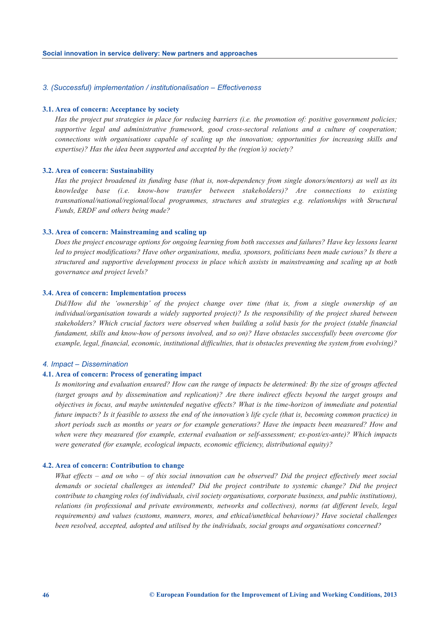#### *3. (Successful) implementation / institutionalisation – Effectiveness*

#### **3.1. Area of concern: Acceptance by society**

*Has the project put strategies in place for reducing barriers (i.e. the promotion of: positive government policies; supportive legal and administrative framework, good cross-sectoral relations and a culture of cooperation; connections with organisations capable of scaling up the innovation; opportunities for increasing skills and expertise)? Has the idea been supported and accepted by the (region's) society?* 

#### **3.2. Area of concern: Sustainability**

*Has the project broadened its funding base (that is, non-dependency from single donors/mentors) as well as its knowledge base (i.e. know-how transfer between stakeholders)? Are connections to existing transnational/national/regional/local programmes, structures and strategies e.g. relationships with Structural Funds, ERDF and others being made?*

#### **3.3. Area of concern: Mainstreaming and scaling up**

*Does the project encourage options for ongoing learning from both successes and failures? Have key lessons learnt led to project modifications? Have other organisations, media, sponsors, politicians been made curious? Is there a structured and supportive development process in place which assists in mainstreaming and scaling up at both governance and project levels?*

#### **3.4. Area of concern: Implementation process**

*Did/How did the 'ownership' of the project change over time (that is, from a single ownership of an individual/organisation towards a widely supported project)? Is the responsibility of the project shared between stakeholders? Which crucial factors were observed when building a solid basis for the project (stable financial fundament, skills and know-how of persons involved, and so on)? Have obstacles successfully been overcome (for example, legal, financial, economic, institutional difficulties, that is obstacles preventing the system from evolving)?*

#### *4. Impact – Dissemination*

#### **4.1. Area of concern: Process of generating impact**

*Is monitoring and evaluation ensured? How can the range of impacts be determined: By the size of groups affected (target groups and by dissemination and replication)? Are there indirect effects beyond the target groups and objectives in focus, and maybe unintended negative effects? What is the time-horizon of immediate and potential future impacts? Is it feasible to assess the end of the innovation's life cycle (that is, becoming common practice) in short periods such as months or years or for example generations? Have the impacts been measured? How and when were they measured (for example, external evaluation or self-assessment; ex-post/ex-ante)? Which impacts were generated (for example, ecological impacts, economic efficiency, distributional equity)?*

#### **4.2. Area of concern: Contribution to change**

*What effects – and on who – of this social innovation can be observed? Did the project effectively meet social demands or societal challenges as intended? Did the project contribute to systemic change? Did the project contribute to changing roles (of individuals, civil society organisations, corporate business, and public institutions), relations (in professional and private environments, networks and collectives), norms (at different levels, legal requirements) and values (customs, manners, mores, and ethical/unethical behaviour)? Have societal challenges been resolved, accepted, adopted and utilised by the individuals, social groups and organisations concerned?*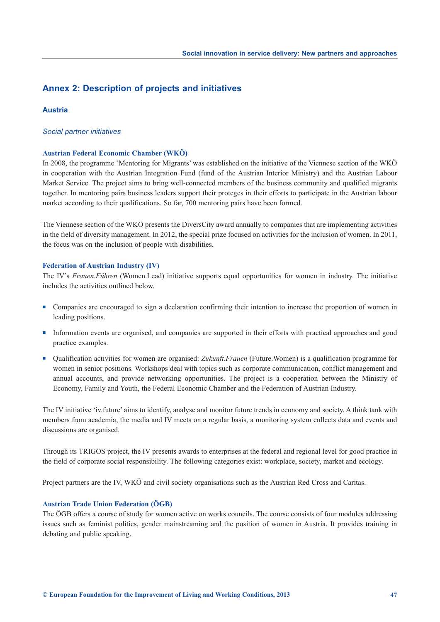# **Annex 2: Description of projects and initiatives**

## **Austria**

#### *Social partner initiatives*

#### **Austrian Federal Economic Chamber (WKÖ)**

In 2008, the programme 'Mentoring for Migrants' was established on the initiative of the Viennese section of the WKÖ in cooperation with the Austrian Integration Fund (fund of the Austrian Interior Ministry) and the Austrian Labour Market Service. The project aims to bring well-connected members of the business community and qualified migrants together. In mentoring pairs business leaders support their proteges in their efforts to participate in the Austrian labour market according to their qualifications. So far, 700 mentoring pairs have been formed.

The Viennese section of the WKÖ presents the DiversCity award annually to companies that are implementing activities in the field of diversity management. In 2012, the special prize focused on activities for the inclusion of women. In 2011, the focus was on the inclusion of people with disabilities.

#### **Federation of Austrian Industry (IV)**

The IV's *Frauen.Führen* (Women.Lead) initiative supports equal opportunities for women in industry. The initiative includes the activities outlined below.

- <sup>n</sup> Companies are encouraged to sign a declaration confirming their intention to increase the proportion of women in leading positions.
- <sup>n</sup> Information events are organised, and companies are supported in their efforts with practical approaches and good practice examples.
- Qualification activities for women are organised: *Zukunft.Frauen* (Future.Women) is a qualification programme for women in senior positions. Workshops deal with topics such as corporate communication, conflict management and annual accounts, and provide networking opportunities. The project is a cooperation between the Ministry of Economy, Family and Youth, the Federal Economic Chamber and the Federation of Austrian Industry.

The IV initiative 'iv.future' aims to identify, analyse and monitor future trends in economy and society. A think tank with members from academia, the media and IV meets on a regular basis, a monitoring system collects data and events and discussions are organised.

Through its TRIGOS project, the IV presents awards to enterprises at the federal and regional level for good practice in the field of corporate social responsibility. The following categories exist: workplace, society, market and ecology.

Project partners are the IV, WKÖ and civil society organisations such as the Austrian Red Cross and Caritas.

## **Austrian Trade Union Federation (ÖGB)**

The ÖGB offers a course of study for women active on works councils. The course consists of four modules addressing issues such as feminist politics, gender mainstreaming and the position of women in Austria. It provides training in debating and public speaking.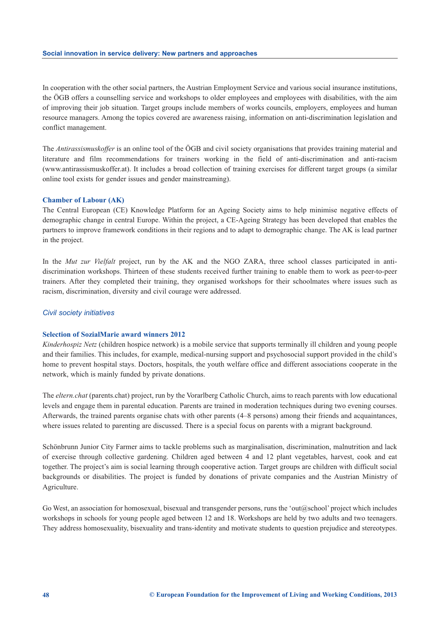In cooperation with the other social partners, the Austrian Employment Service and various social insurance institutions, the ÖGB offers a counselling service and workshops to older employees and employees with disabilities, with the aim of improving their job situation. Target groups include members of works councils, employers, employees and human resource managers. Among the topics covered are awareness raising, information on anti-discrimination legislation and conflict management.

The *Antirassismuskoffer* is an online tool of the ÖGB and civil society organisations that provides training material and literature and film recommendations for trainers working in the field of anti-discrimination and anti-racism ([www.antirassismuskoffer.at\). It](http://www.antirassismuskoffer.at) includes a broad collection of training exercises for different target groups (a similar online tool exists for gender issues and gender mainstreaming).

#### **Chamber of Labour (AK)**

The Central European (CE) Knowledge Platform for an Ageing Society aims to help minimise negative effects of demographic change in central Europe. Within the project, a CE-Ageing Strategy has been developed that enables the partners to improve framework conditions in their regions and to adapt to demographic change. The AK is lead partner in the project.

In the *Mut zur Vielfalt* project, run by the AK and the NGO ZARA, three school classes participated in antidiscrimination workshops. Thirteen of these students received further training to enable them to work as peer-to-peer trainers. After they completed their training, they organised workshops for their schoolmates where issues such as racism, discrimination, diversity and civil courage were addressed.

#### *Civil society initiatives*

#### **Selection of SozialMarie award winners 2012**

*Kinderhospiz Netz* (children hospice network) is a mobile service that supports terminally ill children and young people and their families. This includes, for example, medical-nursing support and psychosocial support provided in the child's home to prevent hospital stays. Doctors, hospitals, the youth welfare office and different associations cooperate in the network, which is mainly funded by private donations.

The *eltern.chat* (parents.chat) project, run by the Vorarlberg Catholic Church, aims to reach parents with low educational levels and engage them in parental education. Parents are trained in moderation techniques during two evening courses. Afterwards, the trained parents organise chats with other parents (4–8 persons) among their friends and acquaintances, where issues related to parenting are discussed. There is a special focus on parents with a migrant background.

Schönbrunn Junior City Farmer aims to tackle problems such as marginalisation, discrimination, malnutrition and lack of exercise through collective gardening. Children aged between 4 and 12 plant vegetables, harvest, cook and eat together. The project's aim is social learning through cooperative action. Target groups are children with difficult social backgrounds or disabilities. The project is funded by donations of private companies and the Austrian Ministry of Agriculture.

Go West, an association for homosexual, bisexual and transgender persons, runs the 'out@school' project which includes workshops in schools for young people aged between 12 and 18. Workshops are held by two adults and two teenagers. They address homosexuality, bisexuality and trans-identity and motivate students to question prejudice and stereotypes.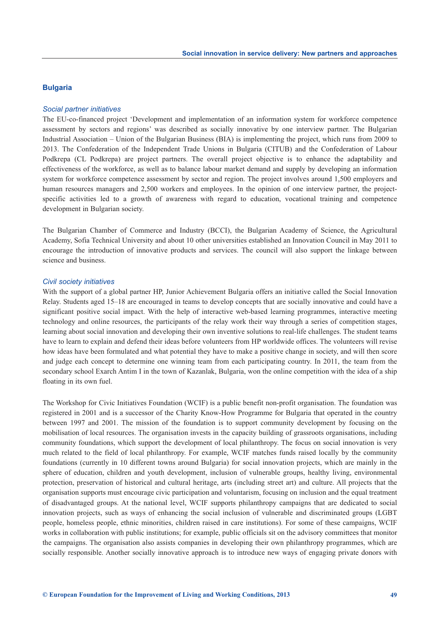#### **Bulgaria**

#### *Social partner initiatives*

The EU-co-financed project 'Development and implementation of an information system for workforce competence assessment by sectors and regions' was described as socially innovative by one interview partner. The Bulgarian Industrial Association – Union of the Bulgarian Business (BIA) is implementing the project, which runs from 2009 to 2013. The Confederation of the Independent Trade Unions in Bulgaria (CITUB) and the Confederation of Labour Podkrepa (CL Podkrepa) are project partners. The overall project objective is to enhance the adaptability and effectiveness of the workforce, as well as to balance labour market demand and supply by developing an information system for workforce competence assessment by sector and region. The project involves around 1,500 employers and human resources managers and 2,500 workers and employees. In the opinion of one interview partner, the projectspecific activities led to a growth of awareness with regard to education, vocational training and competence development in Bulgarian society.

The Bulgarian Chamber of Commerce and Industry (BCCI), the Bulgarian Academy of Science, the Agricultural Academy, Sofia Technical University and about 10 other universities established an Innovation Council in May 2011 to encourage the introduction of innovative products and services. The council will also support the linkage between science and business.

#### *Civil society initiatives*

With the support of a global partner HP, Junior Achievement Bulgaria offers an initiative called the Social Innovation Relay. Students aged 15–18 are encouraged in teams to develop concepts that are socially innovative and could have a significant positive social impact. With the help of interactive web-based learning programmes, interactive meeting technology and online resources, the participants of the relay work their way through a series of competition stages, learning about social innovation and developing their own inventive solutions to real-life challenges. The student teams have to learn to explain and defend their ideas before volunteers from HP worldwide offices. The volunteers will revise how ideas have been formulated and what potential they have to make a positive change in society, and will then score and judge each concept to determine one winning team from each participating country. In 2011, the team from the secondary school Exarch Antim I in the town of Kazanlak, Bulgaria, won the online competition with the idea of a ship floating in its own fuel.

The Workshop for Civic Initiatives Foundation (WCIF) is a public benefit non-profit organisation. The foundation was registered in 2001 and is a successor of the Charity Know-How Programme for Bulgaria that operated in the country between 1997 and 2001. The mission of the foundation is to support community development by focusing on the mobilisation of local resources. The organisation invests in the capacity building of grassroots organisations, including community foundations, which support the development of local philanthropy. The focus on social innovation is very much related to the field of local philanthropy. For example, WCIF matches funds raised locally by the community foundations (currently in 10 different towns around Bulgaria) for social innovation projects, which are mainly in the sphere of education, children and youth development, inclusion of vulnerable groups, healthy living, environmental protection, preservation of historical and cultural heritage, arts (including street art) and culture. All projects that the organisation supports must encourage civic participation and voluntarism, focusing on inclusion and the equal treatment of disadvantaged groups. At the national level, WCIF supports philanthropy campaigns that are dedicated to social innovation projects, such as ways of enhancing the social inclusion of vulnerable and discriminated groups (LGBT people, homeless people, ethnic minorities, children raised in care institutions). For some of these campaigns, WCIF works in collaboration with public institutions; for example, public officials sit on the advisory committees that monitor the campaigns. The organisation also assists companies in developing their own philanthropy programmes, which are socially responsible. Another socially innovative approach is to introduce new ways of engaging private donors with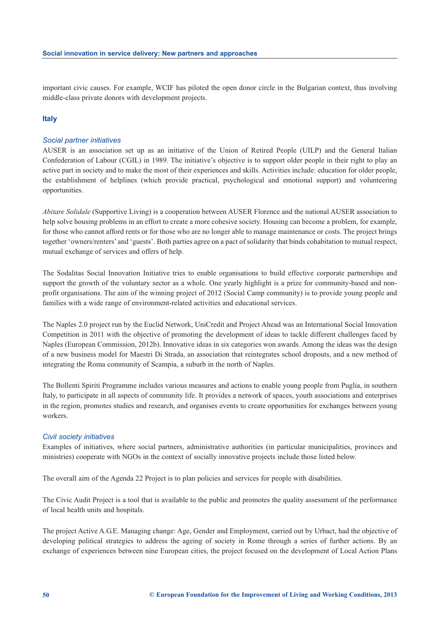important civic causes. For example, WCIF has piloted the open donor circle in the Bulgarian context, thus involving middle-class private donors with development projects.

# **Italy**

#### *Social partner initiatives*

AUSER is an association set up as an initiative of the Union of Retired People (UILP) and the General Italian Confederation of Labour (CGIL) in 1989. The initiative's objective is to support older people in their right to play an active part in society and to make the most of their experiences and skills. Activities include: education for older people, the establishment of helplines (which provide practical, psychological and emotional support) and volunteering opportunities.

*Abitare Solidale* (Supportive Living) is a cooperation between AUSER Florence and the national AUSER association to help solve housing problems in an effort to create a more cohesive society. Housing can become a problem, for example, for those who cannot afford rents or for those who are no longer able to manage maintenance or costs. The project brings together 'owners/renters' and 'guests'. Both parties agree on a pact of solidarity that binds cohabitation to mutual respect, mutual exchange of services and offers of help.

The Sodalitas Social Innovation Initiative tries to enable organisations to build effective corporate partnerships and support the growth of the voluntary sector as a whole. One yearly highlight is a prize for community-based and nonprofit organisations. The aim of the winning project of 2012 (Social Camp community) is to provide young people and families with a wide range of environment-related activities and educational services.

The Naples 2.0 project run by the Euclid Network, UniCredit and Project Ahead was an International Social Innovation Competition in 2011 with the objective of promoting the development of ideas to tackle different challenges faced by Naples (European Commission, 2012b). Innovative ideas in six categories won awards. Among the ideas was the design of a new business model for Maestri Di Strada, an association that reintegrates school dropouts, and a new method of integrating the Roma community of Scampia, a suburb in the north of Naples.

The Bollenti Spiriti Programme includes various measures and actions to enable young people from Puglia, in southern Italy, to participate in all aspects of community life. It provides a network of spaces, youth associations and enterprises in the region, promotes studies and research, and organises events to create opportunities for exchanges between young workers.

#### *Civil society initiatives*

Examples of initiatives, where social partners, administrative authorities (in particular municipalities, provinces and ministries) cooperate with NGOs in the context of socially innovative projects include those listed below.

The overall aim of the Agenda 22 Project is to plan policies and services for people with disabilities.

The Civic Audit Project is a tool that is available to the public and promotes the quality assessment of the performance of local health units and hospitals.

The project Active A.G.E. Managing change: Age, Gender and Employment, carried out by Urbact, had the objective of developing political strategies to address the ageing of society in Rome through a series of further actions. By an exchange of experiences between nine European cities, the project focused on the development of Local Action Plans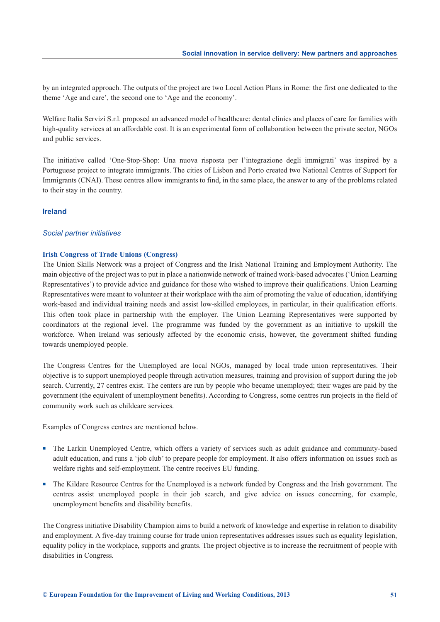by an integrated approach. The outputs of the project are two Local Action Plans in Rome: the first one dedicated to the theme 'Age and care', the second one to 'Age and the economy'.

Welfare Italia Servizi S.r.l. proposed an advanced model of healthcare: dental clinics and places of care for families with high-quality services at an affordable cost. It is an experimental form of collaboration between the private sector, NGOs and public services.

The initiative called 'One-Stop-Shop: Una nuova risposta per l'integrazione degli immigrati' was inspired by a Portuguese project to integrate immigrants. The cities of Lisbon and Porto created two National Centres of Support for Immigrants (CNAI). These centres allow immigrants to find, in the same place, the answer to any of the problems related to their stay in the country.

### **Ireland**

#### *Social partner initiatives*

#### **Irish Congress of Trade Unions (Congress)**

The Union Skills Network was a project of Congress and the Irish National Training and Employment Authority. The main objective of the project was to put in place a nationwide network of trained work-based advocates ('Union Learning Representatives') to provide advice and guidance for those who wished to improve their qualifications. Union Learning Representatives were meant to volunteer at their workplace with the aim of promoting the value of education, identifying work-based and individual training needs and assist low-skilled employees, in particular, in their qualification efforts. This often took place in partnership with the employer. The Union Learning Representatives were supported by coordinators at the regional level. The programme was funded by the government as an initiative to upskill the workforce. When Ireland was seriously affected by the economic crisis, however, the government shifted funding towards unemployed people.

The Congress Centres for the Unemployed are local NGOs, managed by local trade union representatives. Their objective is to support unemployed people through activation measures, training and provision of support during the job search. Currently, 27 centres exist. The centers are run by people who became unemployed; their wages are paid by the government (the equivalent of unemployment benefits). According to Congress, some centres run projects in the field of community work such as childcare services.

Examples of Congress centres are mentioned below.

- <sup>n</sup> The Larkin Unemployed Centre, which offers a variety of services such as adult guidance and community-based adult education, and runs a 'job club' to prepare people for employment. It also offers information on issues such as welfare rights and self-employment. The centre receives EU funding.
- n The Kildare Resource Centres for the Unemployed is a network funded by Congress and the Irish government. The centres assist unemployed people in their job search, and give advice on issues concerning, for example, unemployment benefits and disability benefits.

The Congress initiative Disability Champion aims to build a network of knowledge and expertise in relation to disability and employment. A five-day training course for trade union representatives addresses issues such as equality legislation, equality policy in the workplace, supports and grants. The project objective is to increase the recruitment of people with disabilities in Congress.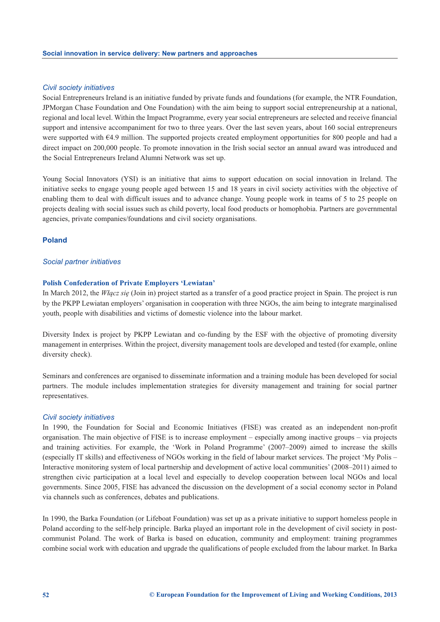#### *Civil society initiatives*

Social Entrepreneurs Ireland is an initiative funded by private funds and foundations (for example, the NTR Foundation, JPMorgan Chase Foundation and One Foundation) with the aim being to support social entrepreneurship at a national, regional and local level. Within the Impact Programme, every year social entrepreneurs are selected and receive financial support and intensive accompaniment for two to three years. Over the last seven years, about 160 social entrepreneurs were supported with €4.9 million. The supported projects created employment opportunities for 800 people and had a direct impact on 200,000 people. To promote innovation in the Irish social sector an annual award was introduced and the Social Entrepreneurs Ireland Alumni Network was set up.

Young Social Innovators (YSI) is an initiative that aims to support education on social innovation in Ireland. The initiative seeks to engage young people aged between 15 and 18 years in civil society activities with the objective of enabling them to deal with difficult issues and to advance change. Young people work in teams of 5 to 25 people on projects dealing with social issues such as child poverty, local food products or homophobia. Partners are governmental agencies, private companies/foundations and civil society organisations.

#### **Poland**

#### *Social partner initiatives*

#### **Polish Confederation of Private Employers 'Lewiatan'**

In March 2012, the *Włącz się* (Join in) project started as a transfer of a good practice project in Spain. The project is run by the PKPP Lewiatan employers' organisation in cooperation with three NGOs, the aim being to integrate marginalised youth, people with disabilities and victims of domestic violence into the labour market.

Diversity Index is project by PKPP Lewiatan and co-funding by the ESF with the objective of promoting diversity management in enterprises. Within the project, diversity management tools are developed and tested (for example, online diversity check).

Seminars and conferences are organised to disseminate information and a training module has been developed for social partners. The module includes implementation strategies for diversity management and training for social partner representatives.

#### *Civil society initiatives*

In 1990, the Foundation for Social and Economic Initiatives (FISE) was created as an independent non-profit organisation. The main objective of FISE is to increase employment – especially among inactive groups – via projects and training activities. For example, the 'Work in Poland Programme' (2007–2009) aimed to increase the skills (especially IT skills) and effectiveness of NGOs working in the field of labour market services. The project 'My Polis – Interactive monitoring system of local partnership and development of active local communities' (2008–2011) aimed to strengthen civic participation at a local level and especially to develop cooperation between local NGOs and local governments. Since 2005, FISE has advanced the discussion on the development of a social economy sector in Poland via channels such as conferences, debates and publications.

In 1990, the Barka Foundation (or Lifeboat Foundation) was set up as a private initiative to support homeless people in Poland according to the self-help principle. Barka played an important role in the development of civil society in postcommunist Poland. The work of Barka is based on education, community and employment: training programmes combine social work with education and upgrade the qualifications of people excluded from the labour market. In Barka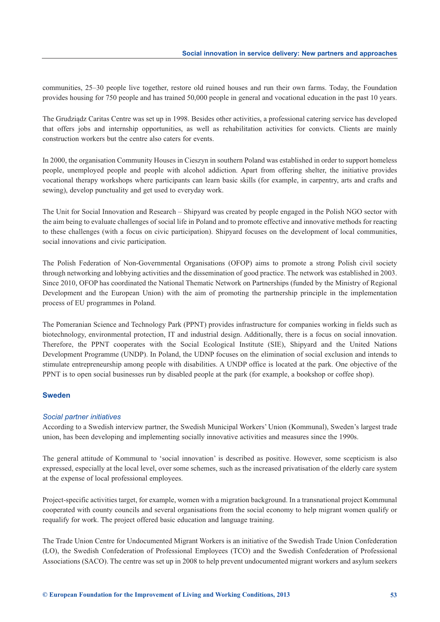communities, 25–30 people live together, restore old ruined houses and run their own farms. Today, the Foundation provides housing for 750 people and has trained 50,000 people in general and vocational education in the past 10 years.

The Grudziądz Caritas Centre was set up in 1998. Besides other activities, a professional catering service has developed that offers jobs and internship opportunities, as well as rehabilitation activities for convicts. Clients are mainly construction workers but the centre also caters for events.

In 2000, the organisation Community Houses in Cieszyn in southern Poland was established in order to support homeless people, unemployed people and people with alcohol addiction. Apart from offering shelter, the initiative provides vocational therapy workshops where participants can learn basic skills (for example, in carpentry, arts and crafts and sewing), develop punctuality and get used to everyday work.

The Unit for Social Innovation and Research – Shipyard was created by people engaged in the Polish NGO sector with the aim being to evaluate challenges of social life in Poland and to promote effective and innovative methods for reacting to these challenges (with a focus on civic participation). Shipyard focuses on the development of local communities, social innovations and civic participation.

The Polish Federation of Non-Governmental Organisations (OFOP) aims to promote a strong Polish civil society through networking and lobbying activities and the dissemination of good practice. The network was established in 2003. Since 2010, OFOP has coordinated the National Thematic Network on Partnerships (funded by the Ministry of Regional Development and the European Union) with the aim of promoting the partnership principle in the implementation process of EU programmes in Poland.

The Pomeranian Science and Technology Park (PPNT) provides infrastructure for companies working in fields such as biotechnology, environmental protection, IT and industrial design. Additionally, there is a focus on social innovation. Therefore, the PPNT cooperates with the Social Ecological Institute (SIE), Shipyard and the United Nations Development Programme (UNDP). In Poland, the UDNP focuses on the elimination of social exclusion and intends to stimulate entrepreneurship among people with disabilities. A UNDP office is located at the park. One objective of the PPNT is to open social businesses run by disabled people at the park (for example, a bookshop or coffee shop).

#### **Sweden**

#### *Social partner initiatives*

According to a Swedish interview partner, the Swedish Municipal Workers' Union (Kommunal), Sweden's largest trade union, has been developing and implementing socially innovative activities and measures since the 1990s.

The general attitude of Kommunal to 'social innovation' is described as positive. However, some scepticism is also expressed, especially at the local level, over some schemes, such as the increased privatisation of the elderly care system at the expense of local professional employees.

Project-specific activities target, for example, women with a migration background. In a transnational project Kommunal cooperated with county councils and several organisations from the social economy to help migrant women qualify or requalify for work. The project offered basic education and language training.

The Trade Union Centre for Undocumented Migrant Workers is an initiative of the Swedish Trade Union Confederation (LO), the Swedish Confederation of Professional Employees (TCO) and the Swedish Confederation of Professional Associations (SACO). The centre was set up in 2008 to help prevent undocumented migrant workers and asylum seekers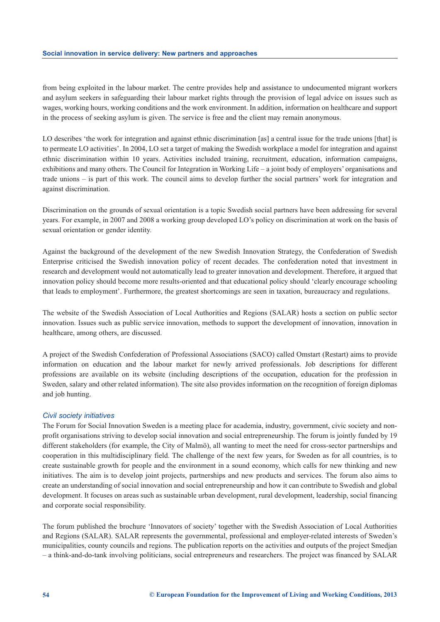from being exploited in the labour market. The centre provides help and assistance to undocumented migrant workers and asylum seekers in safeguarding their labour market rights through the provision of legal advice on issues such as wages, working hours, working conditions and the work environment. In addition, information on healthcare and support in the process of seeking asylum is given. The service is free and the client may remain anonymous.

LO describes 'the work for integration and against ethnic discrimination [as] a central issue for the trade unions [that] is to permeate LO activities'. In 2004, LO set a target of making the Swedish workplace a model for integration and against ethnic discrimination within 10 years. Activities included training, recruitment, education, information campaigns, exhibitions and many others. The Council for Integration in Working Life – a joint body of employers' organisations and trade unions – is part of this work. The council aims to develop further the social partners' work for integration and against discrimination.

Discrimination on the grounds of sexual orientation is a topic Swedish social partners have been addressing for several years. For example, in 2007 and 2008 a working group developed LO's policy on discrimination at work on the basis of sexual orientation or gender identity.

Against the background of the development of the new Swedish Innovation Strategy, the Confederation of Swedish Enterprise criticised the Swedish innovation policy of recent decades. The confederation noted that investment in research and development would not automatically lead to greater innovation and development. Therefore, it argued that innovation policy should become more results-oriented and that educational policy should 'clearly encourage schooling that leads to employment'. Furthermore, the greatest shortcomings are seen in taxation, bureaucracy and regulations.

The website of the Swedish Association of Local Authorities and Regions (SALAR) hosts a section on public sector innovation. Issues such as public service innovation, methods to support the development of innovation, innovation in healthcare, among others, are discussed.

A project of the Swedish Confederation of Professional Associations (SACO) called Omstart (Restart) aims to provide information on education and the labour market for newly arrived professionals. Job descriptions for different professions are available on its website (including descriptions of the occupation, education for the profession in Sweden, salary and other related information). The site also provides information on the recognition of foreign diplomas and job hunting.

#### *Civil society initiatives*

The Forum for Social Innovation Sweden is a meeting place for academia, industry, government, civic society and nonprofit organisations striving to develop social innovation and social entrepreneurship. The forum is jointly funded by 19 different stakeholders (for example, the City of Malmö), all wanting to meet the need for cross-sector partnerships and cooperation in this multidisciplinary field. The challenge of the next few years, for Sweden as for all countries, is to create sustainable growth for people and the environment in a sound economy, which calls for new thinking and new initiatives. The aim is to develop joint projects, partnerships and new products and services. The forum also aims to create an understanding of social innovation and social entrepreneurship and how it can contribute to Swedish and global development. It focuses on areas such as sustainable urban development, rural development, leadership, social financing and corporate social responsibility.

The forum published the brochure 'Innovators of society' together with the Swedish Association of Local Authorities and Regions (SALAR). SALAR represents the governmental, professional and employer-related interests of Sweden's municipalities, county councils and regions. The publication reports on the activities and outputs of the project Smedjan – a think-and-do-tank involving politicians, social entrepreneurs and researchers. The project was financed by SALAR